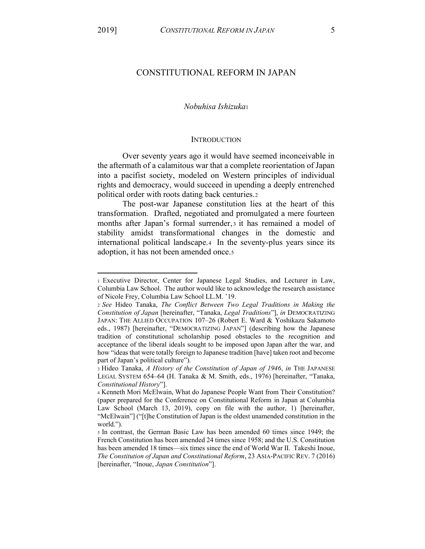# CONSTITUTIONAL REFORM IN JAPAN

## *Nobuhisa Ishizuka*<sup>1</sup>

#### **INTRODUCTION**

Over seventy years ago it would have seemed inconceivable in the aftermath of a calamitous war that a complete reorientation of Japan into a pacifist society, modeled on Western principles of individual rights and democracy, would succeed in upending a deeply entrenched political order with roots dating back centuries.2

The post-war Japanese constitution lies at the heart of this transformation. Drafted, negotiated and promulgated a mere fourteen months after Japan's formal surrender, 3 it has remained a model of stability amidst transformational changes in the domestic and international political landscape.4 In the seventy-plus years since its adoption, it has not been amended once.5

<sup>1</sup> Executive Director, Center for Japanese Legal Studies, and Lecturer in Law, Columbia Law School. The author would like to acknowledge the research assistance of Nicole Frey, Columbia Law School LL.M. '19.

<sup>2</sup> *See* Hideo Tanaka, *The Conflict Between Two Legal Traditions in Making the Constitution of Japan* [hereinafter, "Tanaka, *Legal Traditions*"], *in DEMOCRATIZING* JAPAN: THE ALLIED OCCUPATION 107-26 (Robert E. Ward & Yoshikazu Sakamoto eds., 1987) [hereinafter, "DEMOCRATIZING JAPAN"] (describing how the Japanese tradition of constitutional scholarship posed obstacles to the recognition and acceptance of the liberal ideals sought to be imposed upon Japan after the war, and how "ideas that were totally foreign to Japanese tradition [have] taken root and become part of Japan's political culture").

<sup>3</sup> Hideo Tanaka, *A History of the Constitution of Japan of 1946*, *in* THE JAPANESE LEGAL SYSTEM 654-64 (H. Tanaka & M. Smith, eds., 1976) [hereinafter, "Tanaka, *Constitutional History*´].

<sup>4</sup> Kenneth Mori McElwain, What do Japanese People Want from Their Constitution? (paper prepared for the Conference on Constitutional Reform in Japan at Columbia Law School (March 13, 2019), copy on file with the author, 1) [hereinafter, "McElwain"] ("[t]he Constitution of Japan is the oldest unamended constitution in the world.").

<sup>5</sup> In contrast, the German Basic Law has been amended 60 times since 1949; the French Constitution has been amended 24 times since 1958; and the U.S. Constitution has been amended 18 times—six times since the end of World War II. Takeshi Inoue, *The Constitution of Japan and Constitutional Reform*, 23 ASIA-PACIFIC REV. 7 (2016) [hereinafter, "Inoue, *Japan Constitution*"].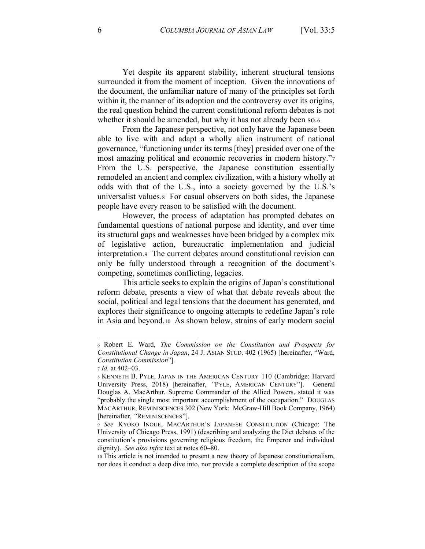Yet despite its apparent stability, inherent structural tensions surrounded it from the moment of inception. Given the innovations of the document, the unfamiliar nature of many of the principles set forth within it, the manner of its adoption and the controversy over its origins, the real question behind the current constitutional reform debates is not whether it should be amended, but why it has not already been so.6

From the Japanese perspective, not only have the Japanese been able to live with and adapt a wholly alien instrument of national governance, "functioning under its terms [they] presided over one of the most amazing political and economic recoveries in modern history.<sup>"7</sup> From the U.S. perspective, the Japanese constitution essentially remodeled an ancient and complex civilization, with a history wholly at odds with that of the U.S., into a society governed by the U.S.'s universalist values.8 For casual observers on both sides, the Japanese people have every reason to be satisfied with the document.

However, the process of adaptation has prompted debates on fundamental questions of national purpose and identity, and over time its structural gaps and weaknesses have been bridged by a complex mix of legislative action, bureaucratic implementation and judicial interpretation.9 The current debates around constitutional revision can only be fully understood through a recognition of the document's competing, sometimes conflicting, legacies.

This article seeks to explain the origins of Japan's constitutional reform debate, presents a view of what that debate reveals about the social, political and legal tensions that the document has generated, and explores their significance to ongoing attempts to redefine Japan's role in Asia and beyond.10 As shown below, strains of early modern social

<sup>6</sup> Robert E. Ward, *The Commission on the Constitution and Prospects for Constitutional Change in Japan*, 24 J. ASIAN STUD. 402 (1965) [hereinafter, "Ward, *Constitution Commission*´].

<sup>7</sup> *Id.* at 402–03.

<sup>8</sup> KENNETH B. PYLE, JAPAN IN THE AMERICAN CENTURY 110 (Cambridge: Harvard University Press, 2018) [hereinafter, "PYLE, AMERICAN CENTURY"]. General Douglas A. MacArthur, Supreme Commander of the Allied Powers, stated it was "probably the single most important accomplishment of the occupation." DOUGLAS MACARTHUR, REMINISCENCES 302 (New York: McGraw-Hill Book Company, 1964) [hereinafter, "REMINISCENCES"].

<sup>9</sup> *See* KYOKO INOUE, MACARTHUR'S JAPANESE CONSTITUTION (Chicago: The University of Chicago Press, 1991) (describing and analyzing the Diet debates of the constitution's provisions governing religious freedom, the Emperor and individual dignity). *See also infra* text at notes 60–80.

<sup>10</sup> This article is not intended to present a new theory of Japanese constitutionalism, nor does it conduct a deep dive into, nor provide a complete description of the scope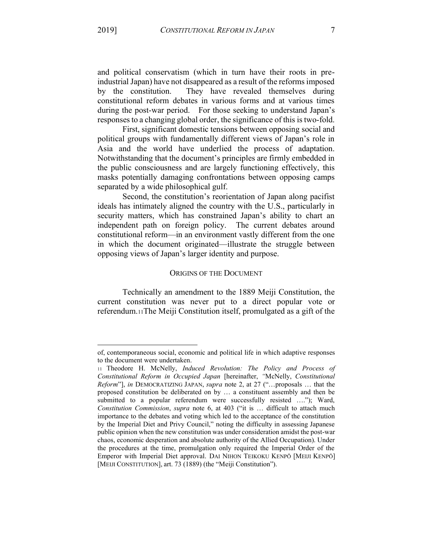and political conservatism (which in turn have their roots in preindustrial Japan) have not disappeared as a result of the reforms imposed by the constitution. They have revealed themselves during constitutional reform debates in various forms and at various times during the post-war period. For those seeking to understand Japan's responses to a changing global order, the significance of this is two-fold.

First, significant domestic tensions between opposing social and political groups with fundamentally different views of Japan's role in Asia and the world have underlied the process of adaptation. Notwithstanding that the document's principles are firmly embedded in the public consciousness and are largely functioning effectively, this masks potentially damaging confrontations between opposing camps separated by a wide philosophical gulf.

Second, the constitution's reorientation of Japan along pacifist ideals has intimately aligned the country with the U.S., particularly in security matters, which has constrained Japan's ability to chart an independent path on foreign policy. The current debates around constitutional reform—in an environment vastly different from the one in which the document originated—illustrate the struggle between opposing views of Japan's larger identity and purpose.

#### ORIGINS OF THE DOCUMENT

Technically an amendment to the 1889 Meiji Constitution, the current constitution was never put to a direct popular vote or referendum.11The Meiji Constitution itself, promulgated as a gift of the

of, contemporaneous social, economic and political life in which adaptive responses to the document were undertaken. 11 Theodore H. McNelly, *Induced Revolution: The Policy and Process of* 

*Constitutional Reform in Occupied Japan* [hereinafter, *³*McNelly, *Constitutional Reform*"], *in* DEMOCRATIZING JAPAN, *supra* note 2, at 27 ("...proposals ... that the proposed constitution be deliberated on by ... a constituent assembly and then be submitted to a popular referendum were successfully resisted ...."); Ward, *Constitution Commission, supra* note 6, at 403 ("it is ... difficult to attach much importance to the debates and voting which led to the acceptance of the constitution by the Imperial Diet and Privy Council," noting the difficulty in assessing Japanese public opinion when the new constitution was under consideration amidst the post-war chaos, economic desperation and absolute authority of the Allied Occupation). Under the procedures at the time, promulgation only required the Imperial Order of the Emperor with Imperial Diet approval. DAI NIHON TEIKOKU KENPŌ [MEIJI KENPŌ] [MEIJI CONSTITUTION], art. 73 (1889) (the "Meiji Constitution").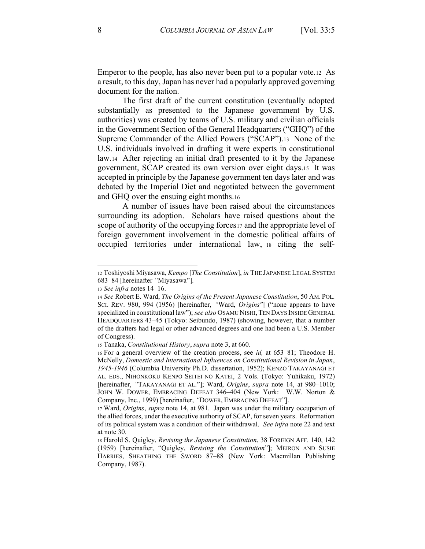Emperor to the people, has also never been put to a popular vote.12 As a result, to this day, Japan has never had a popularly approved governing document for the nation.

The first draft of the current constitution (eventually adopted substantially as presented to the Japanese government by U.S. authorities) was created by teams of U.S. military and civilian officials in the Government Section of the General Headquarters ("GHQ") of the Supreme Commander of the Allied Powers ("SCAP").13 None of the U.S. individuals involved in drafting it were experts in constitutional law.14 After rejecting an initial draft presented to it by the Japanese government, SCAP created its own version over eight days.15 It was accepted in principle by the Japanese government ten days later and was debated by the Imperial Diet and negotiated between the government and GHQ over the ensuing eight months.16

A number of issues have been raised about the circumstances surrounding its adoption. Scholars have raised questions about the scope of authority of the occupying forces<sup>17</sup> and the appropriate level of foreign government involvement in the domestic political affairs of occupied territories under international law, <sup>18</sup> citing the self-

<sup>12</sup> Toshiyoshi Miyasawa, *Kempo* [*The Constitution*], *in* THE JAPANESE LEGAL SYSTEM 683-84 [hereinafter "Miyasawa"].

<sup>13</sup> *See infra* notes 14–16.

<sup>14</sup> *See* Robert E. Ward, *The Origins of the Present Japanese Constitution*, 50 AM. POL. SCI. REV. 980, 994 (1956) [hereinafter, "Ward, *Origins"*] ("none appears to have specialized in constitutional law"); *see also* OSAMU NISHI, TEN DAYS INSIDE GENERAL HEADQUARTERS 43-45 (Tokyo: Seibundo, 1987) (showing, however, that a number of the drafters had legal or other advanced degrees and one had been a U.S. Member of Congress).

<sup>15</sup> Tanaka, *Constitutional History*, *supra* note 3, at 660.

<sup>16</sup> For a general overview of the creation process, see *id*, at 653-81; Theodore H. McNelly, *Domestic and International Influences on Constitutional Revision in Japan*, *1945-1946* (Columbia University Ph.D. dissertation, 1952); KENZO TAKAYANAGI ET AL. EDS., NIHONKOKU KENPO SEITEI NO KATEI, 2 Vols. (Tokyo: Yuhikaku, 1972) [hereinafter, "TAKAYANAGI ET AL."]; Ward, Origins, supra note 14, at 980-1010; JOHN W. DOWER, EMBRACING DEFEAT 346-404 (New York: W.W. Norton & Company, Inc., 1999) [hereinafter, "DOWER, EMBRACING DEFEAT"].

<sup>17</sup> Ward, *Origins*, *supra* note 14, at 981. Japan was under the military occupation of the allied forces, under the executive authority of SCAP, for seven years. Reformation of its political system was a condition of their withdrawal. *See infra* note 22 and text at note 30.

<sup>18</sup> Harold S. Quigley, *Revising the Japanese Constitution*, 38 FOREIGN AFF. 140, 142 (1959) [hereinafter, "Quigley, *Revising the Constitution*"]; MEIRON AND SUSIE HARRIES, SHEATHING THE SWORD 87-88 (New York: Macmillan Publishing Company, 1987).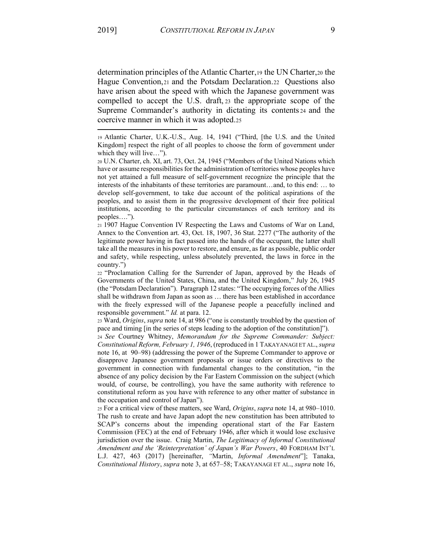determination principles of the Atlantic Charter,19 the UN Charter,20 the Hague Convention,21 and the Potsdam Declaration.22 Questions also have arisen about the speed with which the Japanese government was compelled to accept the U.S. draft, <sup>23</sup> the appropriate scope of the Supreme Commander's authority in dictating its contents 24 and the coercive manner in which it was adopted.25

<sup>21</sup> 1907 Hague Convention IV Respecting the Laws and Customs of War on Land, Annex to the Convention art. 43, Oct. 18, 1907, 36 Stat. 2277 ("The authority of the legitimate power having in fact passed into the hands of the occupant, the latter shall take all the measures in his power to restore, and ensure, as far as possible, public order and safety, while respecting, unless absolutely prevented, the laws in force in the  $country."$ 

22 "Proclamation Calling for the Surrender of Japan, approved by the Heads of Governments of the United States, China, and the United Kingdom," July 26, 1945 (the "Potsdam Declaration"). Paragraph 12 states: "The occupying forces of the Allies shall be withdrawn from Japan as soon as ... there has been established in accordance with the freely expressed will of the Japanese people a peacefully inclined and responsible government." *Id.* at para. 12.

23 Ward, *Origins*, *supra* note 14, at 986 ("one is constantly troubled by the question of pace and timing [in the series of steps leading to the adoption of the constitution]").

<sup>24</sup> *See* Courtney Whitney, *Memorandum for the Supreme Commander: Subject: Constitutional Reform, February 1, 1946*, (reproduced in 1 TAKAYANAGI ET AL., *supra* note 16, at 90–98) (addressing the power of the Supreme Commander to approve or disapprove Japanese government proposals or issue orders or directives to the government in connection with fundamental changes to the constitution, "in the absence of any policy decision by the Far Eastern Commission on the subject (which would, of course, be controlling), you have the same authority with reference to constitutional reform as you have with reference to any other matter of substance in the occupation and control of Japan").

25 For a critical view of these matters, see Ward, *Origins*, *supra* note 14, at 980–1010. The rush to create and have Japan adopt the new constitution has been attributed to SCAP's concerns about the impending operational start of the Far Eastern Commission (FEC) at the end of February 1946, after which it would lose exclusive jurisdiction over the issue. Craig Martin, *The Legitimacy of Informal Constitutional Amendment and the 'Reinterpretation' of Japan's War Powers*, 40 FORDHAM INT'L L.J. 427, 463 (2017) [hereinafter, "Martin, *Informal Amendment*"]; Tanaka, *Constitutional History, supra* note 3, at 657–58; TAKAYANAGI ET AL., *supra* note 16,

<sup>19</sup> Atlantic Charter, U.K.-U.S., Aug. 14, 1941 ("Third, [the U.S. and the United Kingdom] respect the right of all peoples to choose the form of government under which they will live $\dots$ ").

 $20 \text{ U.N.}$  Charter, ch. XI, art. 73, Oct. 24, 1945 ("Members of the United Nations which have or assume responsibilities for the administration of territories whose peoples have not yet attained a full measure of self-government recognize the principle that the interests of the inhabitants of these territories are paramount...and, to this end: ... to develop self-government, to take due account of the political aspirations of the peoples, and to assist them in the progressive development of their free political institutions, according to the particular circumstances of each territory and its peoples....").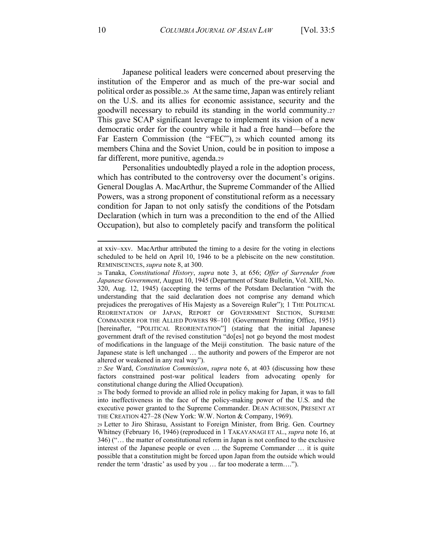Japanese political leaders were concerned about preserving the institution of the Emperor and as much of the pre-war social and political order as possible.26 At the same time, Japan was entirely reliant on the U.S. and its allies for economic assistance, security and the goodwill necessary to rebuild its standing in the world community.27 This gave SCAP significant leverage to implement its vision of a new democratic order for the country while it had a free hand—before the Far Eastern Commission (the "FEC"), 28 which counted among its members China and the Soviet Union, could be in position to impose a far different, more punitive, agenda.29

Personalities undoubtedly played a role in the adoption process, which has contributed to the controversy over the document's origins. General Douglas A. MacArthur, the Supreme Commander of the Allied Powers, was a strong proponent of constitutional reform as a necessary condition for Japan to not only satisfy the conditions of the Potsdam Declaration (which in turn was a precondition to the end of the Allied Occupation), but also to completely pacify and transform the political

at xxiv–xxv. MacArthur attributed the timing to a desire for the voting in elections scheduled to be held on April 10, 1946 to be a plebiscite on the new constitution. REMINISCENCES, *supra* note 8, at 300.

<sup>26</sup> Tanaka, *Constitutional History*, *supra* note 3, at 656; *Offer of Surrender from Japanese Government*, August 10, 1945 (Department of State Bulletin, Vol. XIII, No. 320, Aug. 12, 1945) (accepting the terms of the Potsdam Declaration "with the understanding that the said declaration does not comprise any demand which prejudices the prerogatives of His Majesty as a Sovereign Ruler"); 1 THE POLITICAL REORIENTATION OF JAPAN, REPORT OF GOVERNMENT SECTION, SUPREME COMMANDER FOR THE ALLIED POWERS 98-101 (Government Printing Office, 1951) [hereinafter, "POLITICAL REORIENTATION"] (stating that the initial Japanese government draft of the revised constitution "do[es] not go beyond the most modest of modifications in the language of the Meiji constitution. The basic nature of the Japanese state is left unchanged ... the authority and powers of the Emperor are not altered or weakened in any real way").

<sup>27</sup> *See* Ward, *Constitution Commission*, *supra* note 6, at 403 (discussing how these factors constrained post-war political leaders from advocating openly for constitutional change during the Allied Occupation).

<sup>28</sup> The body formed to provide an allied role in policy making for Japan, it was to fall into ineffectiveness in the face of the policy-making power of the U.S. and the executive power granted to the Supreme Commander. DEAN ACHESON, PRESENT AT THE CREATION 427-28 (New York: W.W. Norton & Company, 1969).

<sup>29</sup> Letter to Jiro Shirasu, Assistant to Foreign Minister, from Brig. Gen. Courtney Whitney (February 16, 1946) (reproduced in 1 TAKAYANAGI ET AL., *supra* note 16, at 346) ("... the matter of constitutional reform in Japan is not confined to the exclusive interest of the Japanese people or even ... the Supreme Commander ... it is quite possible that a constitution might be forced upon Japan from the outside which would render the term 'drastic' as used by you ... far too moderate a term....").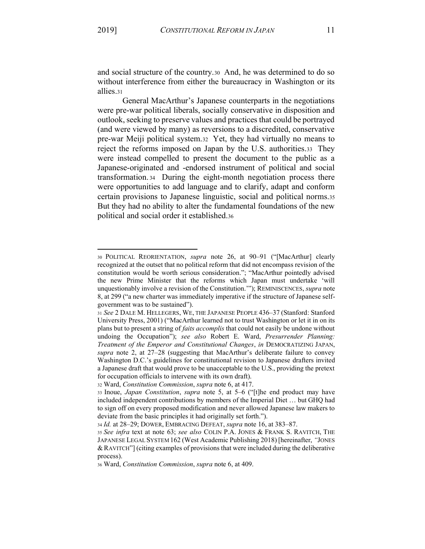and social structure of the country.30 And, he was determined to do so without interference from either the bureaucracy in Washington or its allies.31

General MacArthur's Japanese counterparts in the negotiations were pre-war political liberals, socially conservative in disposition and outlook, seeking to preserve values and practices that could be portrayed (and were viewed by many) as reversions to a discredited, conservative pre-war Meiji political system.32 Yet, they had virtually no means to reject the reforms imposed on Japan by the U.S. authorities.33 They were instead compelled to present the document to the public as a Japanese-originated and -endorsed instrument of political and social transformation. 34 During the eight-month negotiation process there were opportunities to add language and to clarify, adapt and conform certain provisions to Japanese linguistic, social and political norms.35 But they had no ability to alter the fundamental foundations of the new political and social order it established.36

<sup>30</sup> POLITICAL REORIENTATION, *supra* note 26, at 90-91 ("[MacArthur] clearly recognized at the outset that no political reform that did not encompass revision of the constitution would be worth serious consideration.''; "MacArthur pointedly advised the new Prime Minister that the reforms which Japan must undertake 'will unquestionably involve a revision of the Constitution.""); REMINISCENCES, *supra* note 8, at 299 ("a new charter was immediately imperative if the structure of Japanese selfgovernment was to be sustained").

<sup>31</sup> *See* 2 DALE M. HELLEGERS, WE, THE JAPANESE PEOPLE 436-37 (Stanford: Stanford University Press, 2001) ("MacArthur learned not to trust Washington or let it in on its plans but to present a string of *faits accomplis* that could not easily be undone without undoing the Occupation"); *see also* Robert E. Ward, *Presurrender Planning: Treatment of the Emperor and Constitutional Changes*, *in* DEMOCRATIZING JAPAN, supra note 2, at 27-28 (suggesting that MacArthur's deliberate failure to convey Washington D.C.'s guidelines for constitutional revision to Japanese drafters invited a Japanese draft that would prove to be unacceptable to the U.S., providing the pretext for occupation officials to intervene with its own draft).

<sup>32</sup> Ward, *Constitution Commission*, *supra* note 6, at 417.

<sup>33</sup> Inoue, *Japan Constitution*, *supra* note 5, at 5–6 ("[t]he end product may have included independent contributions by members of the Imperial Diet ... but GHQ had to sign off on every proposed modification and never allowed Japanese law makers to deviate from the basic principles it had originally set forth.<sup>\*\*</sup>).

<sup>34</sup> *Id.* at 28–29; DOWER, EMBRACING DEFEAT, *supra* note 16, at 383–87.

<sup>35</sup> *See infra* text at note 63; *see also* COLIN P.A. JONES & FRANK S. RAVITCH, THE JAPANESE LEGAL SYSTEM 162 (West Academic Publishing 2018) [hereinafter, *"JONES* & RAVITCH<sup> $n'$ </sup> (citing examples of provisions that were included during the deliberative process).

<sup>36</sup> Ward, *Constitution Commission*, *supra* note 6, at 409.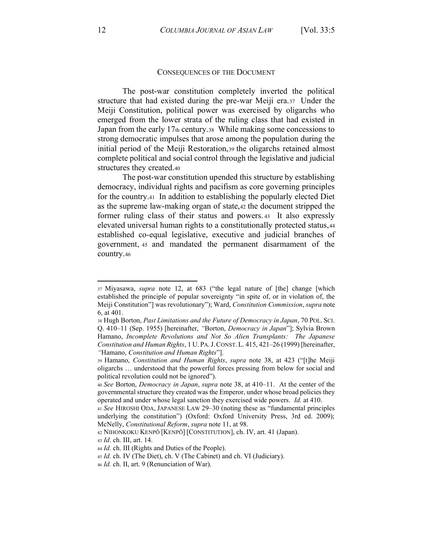### CONSEQUENCES OF THE DOCUMENT

The post-war constitution completely inverted the political structure that had existed during the pre-war Meiji era.37 Under the Meiji Constitution, political power was exercised by oligarchs who emerged from the lower strata of the ruling class that had existed in Japan from the early 17th century.38 While making some concessions to strong democratic impulses that arose among the population during the initial period of the Meiji Restoration,39 the oligarchs retained almost complete political and social control through the legislative and judicial structures they created.40

The post-war constitution upended this structure by establishing democracy, individual rights and pacifism as core governing principles for the country.41 In addition to establishing the popularly elected Diet as the supreme law-making organ of state,42 the document stripped the former ruling class of their status and powers. <sup>43</sup> It also expressly elevated universal human rights to a constitutionally protected status,44 established co-equal legislative, executive and judicial branches of government, <sup>45</sup> and mandated the permanent disarmament of the country.46

<sup>&</sup>lt;sup>37</sup> Miyasawa, *supra* note 12, at 683 ("the legal nature of [the] change [which established the principle of popular sovereignty "in spite of, or in violation of, the Meiji Constitution"] was revolutionary"); Ward, *Constitution Commission*, *supra* note 6, at 401.

<sup>38</sup> Hugh Borton, *Past Limitations and the Future of Democracy in Japan*, 70 POL. SCI. Q. 410-11 (Sep. 1955) [hereinafter, *''Borton, Democracy in Japan''*]; Sylvia Brown Hamano, *Incomplete Revolutions and Not So Alien Transplants: The Japanese Constitution and Human Rights*, 1 U. PA. J. CONST. L. 415, 421-26 (1999) [hereinafter, *³*Hamano, *Constitution and Human Rights*´].

<sup>39</sup> Hamano, *Constitution and Human Rights*, *supra* note 38, at 423 ("[t]he Meiji oligarchs ... understood that the powerful forces pressing from below for social and political revolution could not be ignored").

<sup>40</sup> *See* Borton, *Democracy in Japan*, *supra* note 38, at 410–11. At the center of the governmental structure they created was the Emperor, under whose broad policies they operated and under whose legal sanction they exercised wide powers. *Id.* at 410.

<sup>41</sup> *See* HIROSHI ODA, JAPANESE LAW 29-30 (noting these as "fundamental principles underlying the constitution") (Oxford: Oxford University Press, 3rd ed. 2009); McNelly, *Constitutional Reform*, *supra* note 11, at 98.

<sup>42</sup> NIHONKOKU KENPŌ [KENPŌ] [CONSTITUTION], ch. IV, art. 41 (Japan).

<sup>43</sup> *Id*. ch. III, art. 14.

<sup>44</sup> *Id.* ch. III (Rights and Duties of the People).

<sup>45</sup> *Id.* ch. IV (The Diet), ch. V (The Cabinet) and ch. VI (Judiciary).

<sup>46</sup> *Id.* ch. II, art. 9 (Renunciation of War).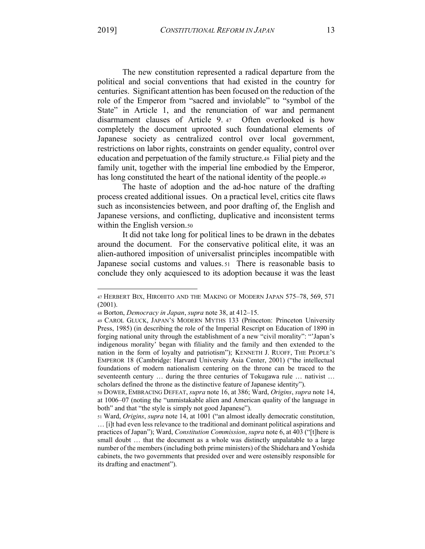The new constitution represented a radical departure from the political and social conventions that had existed in the country for centuries. Significant attention has been focused on the reduction of the role of the Emperor from "sacred and inviolable" to "symbol of the State" in Article 1, and the renunciation of war and permanent disarmament clauses of Article 9. 47 Often overlooked is how completely the document uprooted such foundational elements of Japanese society as centralized control over local government, restrictions on labor rights, constraints on gender equality, control over education and perpetuation of the family structure.48 Filial piety and the family unit, together with the imperial line embodied by the Emperor, has long constituted the heart of the national identity of the people.49

The haste of adoption and the ad-hoc nature of the drafting process created additional issues. On a practical level, critics cite flaws such as inconsistencies between, and poor drafting of, the English and Japanese versions, and conflicting, duplicative and inconsistent terms within the English version.<sub>50</sub>

It did not take long for political lines to be drawn in the debates around the document. For the conservative political elite, it was an alien-authored imposition of universalist principles incompatible with Japanese social customs and values. 51 There is reasonable basis to conclude they only acquiesced to its adoption because it was the least

<sup>47</sup> HERBERT BIX, HIROHITO AND THE MAKING OF MODERN JAPAN 575-78, 569, 571 (2001).

<sup>48</sup> Borton, *Democracy in Japan*, *supra* note 38, at 412-15.

<sup>49</sup> CAROL GLUCK, JAPAN'S MODERN MYTHS 133 (Princeton: Princeton University Press, 1985) (in describing the role of the Imperial Rescript on Education of 1890 in forging national unity through the establishment of a new "civil morality": "Japan's indigenous morality' began with filiality and the family and then extended to the nation in the form of loyalty and patriotism"); KENNETH J. RUOFF, THE PEOPLE'S EMPEROR 18 (Cambridge: Harvard University Asia Center, 2001) ("the intellectual foundations of modern nationalism centering on the throne can be traced to the seventeenth century  $\ldots$  during the three centuries of Tokugawa rule  $\ldots$  nativist  $\ldots$ scholars defined the throne as the distinctive feature of Japanese identity").

<sup>50</sup> DOWER, EMBRACING DEFEAT, *supra* note 16, at 386; Ward, *Origins*, *supra* note 14, at 1006–07 (noting the "unmistakable alien and American quality of the language in both" and that "the style is simply not good Japanese").

<sup>51</sup> Ward, *Origins*, *supra* note 14, at 1001 ("an almost ideally democratic constitution, ... [i]t had even less relevance to the traditional and dominant political aspirations and practices of Japan"); Ward, *Constitution Commission*, *supra* note 6, at 403 ("[t]here is small doubt ... that the document as a whole was distinctly unpalatable to a large number of the members (including both prime ministers) of the Shidehara and Yoshida cabinets, the two governments that presided over and were ostensibly responsible for its drafting and enactment").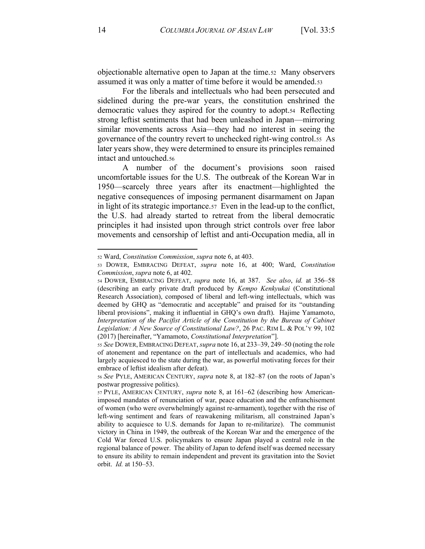objectionable alternative open to Japan at the time.52 Many observers assumed it was only a matter of time before it would be amended.53

For the liberals and intellectuals who had been persecuted and sidelined during the pre-war years, the constitution enshrined the democratic values they aspired for the country to adopt.54 Reflecting strong leftist sentiments that had been unleashed in Japan—mirroring similar movements across Asia—they had no interest in seeing the governance of the country revert to unchecked right-wing control.55 As later years show, they were determined to ensure its principles remained intact and untouched.56

A number of the document's provisions soon raised uncomfortable issues for the U.S. The outbreak of the Korean War in 1950—scarcely three years after its enactment—highlighted the negative consequences of imposing permanent disarmament on Japan in light of its strategic importance.57 Even in the lead-up to the conflict, the U.S. had already started to retreat from the liberal democratic principles it had insisted upon through strict controls over free labor movements and censorship of leftist and anti-Occupation media, all in

<sup>52</sup> Ward, *Constitution Commission*, *supra* note 6, at 403.

<sup>53</sup> DOWER, EMBRACING DEFEAT, *supra* note 16, at 400; Ward, *Constitution Commission*, *supra* note 6, at 402.

<sup>54</sup> DOWER, EMBRACING DEFEAT, *supra* note 16, at 387. *See also, id.* at 356-58 (describing an early private draft produced by *Kempo Kenkyukai* (Constitutional Research Association), composed of liberal and left-wing intellectuals, which was deemed by GHQ as "democratic and acceptable" and praised for its "outstanding liberal provisions", making it influential in GHQ's own draft). Hajime Yamamoto, Interpretation of the Pacifist Article of the Constitution by the Bureau of Cabinet Legislation: A New Source of Constitutional Law?, 26 PAC. RIM L. & POL'Y 99, 102 (2017) [hereinafter, "Yamamoto, *Constitutional Interpretation*"].

<sup>55</sup> *See* DOWER,EMBRACING DEFEAT, *supra* note 16, at 233±39, 249±50 (noting the role of atonement and repentance on the part of intellectuals and academics, who had largely acquiesced to the state during the war, as powerful motivating forces for their embrace of leftist idealism after defeat).

<sup>56</sup> See PYLE, AMERICAN CENTURY, *supra* note 8, at 182–87 (on the roots of Japan's postwar progressive politics).

<sup>57</sup> PYLE, AMERICAN CENTURY, *supra* note 8, at 161–62 (describing how Americanimposed mandates of renunciation of war, peace education and the enfranchisement of women (who were overwhelmingly against re-armament), together with the rise of left-wing sentiment and fears of reawakening militarism, all constrained Japan's ability to acquiesce to U.S. demands for Japan to re-militarize). The communist victory in China in 1949, the outbreak of the Korean War and the emergence of the Cold War forced U.S. policymakers to ensure Japan played a central role in the regional balance of power. The ability of Japan to defend itself was deemed necessary to ensure its ability to remain independent and prevent its gravitation into the Soviet orbit. *Id.* at 150–53.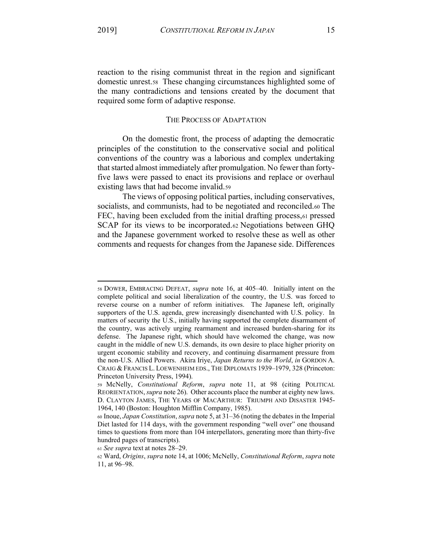reaction to the rising communist threat in the region and significant domestic unrest.58 These changing circumstances highlighted some of the many contradictions and tensions created by the document that required some form of adaptive response.

## THE PROCESS OF ADAPTATION

On the domestic front, the process of adapting the democratic principles of the constitution to the conservative social and political conventions of the country was a laborious and complex undertaking that started almost immediately after promulgation. No fewer than fortyfive laws were passed to enact its provisions and replace or overhaul existing laws that had become invalid.59

The views of opposing political parties, including conservatives, socialists, and communists, had to be negotiated and reconciled.60 The FEC, having been excluded from the initial drafting process,61 pressed SCAP for its views to be incorporated.62 Negotiations between GHQ and the Japanese government worked to resolve these as well as other comments and requests for changes from the Japanese side. Differences

<sup>58</sup> DOWER, EMBRACING DEFEAT, *supra* note 16, at 405–40. Initially intent on the complete political and social liberalization of the country, the U.S. was forced to reverse course on a number of reform initiatives. The Japanese left, originally supporters of the U.S. agenda, grew increasingly disenchanted with U.S. policy. In matters of security the U.S., initially having supported the complete disarmament of the country, was actively urging rearmament and increased burden-sharing for its defense. The Japanese right, which should have welcomed the change, was now caught in the middle of new U.S. demands, its own desire to place higher priority on urgent economic stability and recovery, and continuing disarmament pressure from the non-U.S. Allied Powers. Akira Iriye, *Japan Returns to the World*, *in* GORDON A. CRAIG & FRANCIS L. LOEWENHEIM EDS., THE DIPLOMATS 1939-1979, 328 (Princeton: Princeton University Press, 1994).

<sup>59</sup> McNelly, *Constitutional Reform*, *supra* note 11, at 98 (citing POLITICAL REORIENTATION, *supra* note 26). Other accounts place the number at eighty new laws. D. CLAYTON JAMES, THE YEARS OF MACARTHUR: TRIUMPH AND DISASTER 1945- 1964, 140 (Boston: Houghton Mifflin Company, 1985).

<sup>60</sup> Inoue, *Japan Constitution*, *supra* note 5, at 31±36 (noting the debates in the Imperial Diet lasted for 114 days, with the government responding "well over" one thousand times to questions from more than 104 interpellators, generating more than thirty-five hundred pages of transcripts).

<sup>61</sup> See supra text at notes 28-29.

<sup>62</sup> Ward, *Origins*, *supra* note 14, at 1006; McNelly, *Constitutional Reform*, *supra* note 11, at 96–98.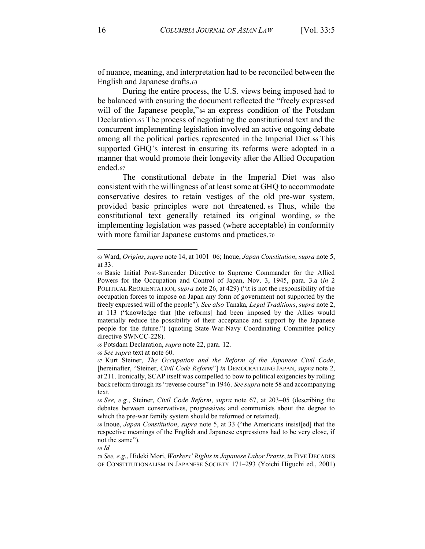of nuance, meaning, and interpretation had to be reconciled between the English and Japanese drafts.63

During the entire process, the U.S. views being imposed had to be balanced with ensuring the document reflected the "freely expressed" will of the Japanese people,"<sup>64</sup> an express condition of the Potsdam Declaration.65 The process of negotiating the constitutional text and the concurrent implementing legislation involved an active ongoing debate among all the political parties represented in the Imperial Diet.66 This supported GHQ's interest in ensuring its reforms were adopted in a manner that would promote their longevity after the Allied Occupation ended.67

The constitutional debate in the Imperial Diet was also consistent with the willingness of at least some at GHQ to accommodate conservative desires to retain vestiges of the old pre-war system, provided basic principles were not threatened. <sup>68</sup> Thus, while the constitutional text generally retained its original wording, <sup>69</sup> the implementing legislation was passed (where acceptable) in conformity with more familiar Japanese customs and practices.70

<sup>65</sup> Potsdam Declaration, *supra* note 22, para. 12.

<sup>66</sup> *See supra* text at note 60.

<sup>69</sup> *Id.*

<sup>63</sup> Ward, *Origins*, *supra* note 14, at 1001–06; Inoue, *Japan Constitution*, *supra* note 5, at 33.

<sup>64</sup> Basic Initial Post-Surrender Directive to Supreme Commander for the Allied Powers for the Occupation and Control of Japan, Nov. 3, 1945, para. 3.a (*in* 2 POLITICAL REORIENTATION, *supra* note 26, at 429) ("it is not the responsibility of the occupation forces to impose on Japan any form of government not supported by the freely expressed will of the people"). *See also* Tanaka, *Legal Traditions*, *supra* note 2, at 113 ("knowledge that [the reforms] had been imposed by the Allies would materially reduce the possibility of their acceptance and support by the Japanese people for the future.") (quoting State-War-Navy Coordinating Committee policy directive SWNCC-228).

<sup>67</sup> Kurt Steiner, *The Occupation and the Reform of the Japanese Civil Code*, [hereinafter, "Steiner, *Civil Code Reform*"] *in* DEMOCRATIZING JAPAN, *supra* note 2, at 211. Ironically, SCAP itself was compelled to bow to political exigencies by rolling back reform through its "reverse course" in 1946. *See supra* note 58 and accompanying text.

<sup>68</sup> *See, e.g.*, *Steiner, Civil Code Reform, supra note 67, at 203–05 (describing the* debates between conservatives, progressives and communists about the degree to which the pre-war family system should be reformed or retained).

<sup>68</sup> Inoue, *Japan Constitution*, *supra* note 5, at 33 ("the Americans insisted] that the respective meanings of the English and Japanese expressions had to be very close, if not the same").

<sup>70</sup> *See, e.g.*, Hideki Mori, *Workers¶ Rights in Japanese Labor Pra[is*, *in* FIVE DECADES OF CONSTITUTIONALISM IN JAPANESE SOCIETY 171-293 (Yoichi Higuchi ed., 2001)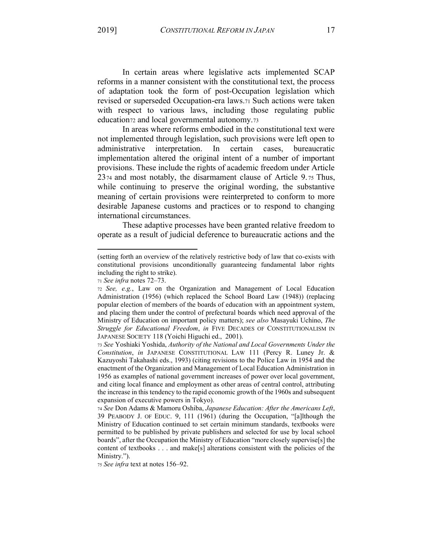In certain areas where legislative acts implemented SCAP reforms in a manner consistent with the constitutional text, the process of adaptation took the form of post-Occupation legislation which revised or superseded Occupation-era laws.71 Such actions were taken with respect to various laws, including those regulating public education<sub>72</sub> and local governmental autonomy.<sub>73</sub>

In areas where reforms embodied in the constitutional text were not implemented through legislation, such provisions were left open to administrative interpretation. In certain cases, bureaucratic implementation altered the original intent of a number of important provisions. These include the rights of academic freedom under Article 2374 and most notably, the disarmament clause of Article 9. <sup>75</sup> Thus, while continuing to preserve the original wording, the substantive meaning of certain provisions were reinterpreted to conform to more desirable Japanese customs and practices or to respond to changing international circumstances.

These adaptive processes have been granted relative freedom to operate as a result of judicial deference to bureaucratic actions and the

75 *See infra* text at notes 156-92.

<sup>(</sup>setting forth an overview of the relatively restrictive body of law that co-exists with constitutional provisions unconditionally guaranteeing fundamental labor rights including the right to strike).

<sup>71</sup> See infra notes 72-73.

<sup>72</sup> *See, e.g.*, Law on the Organization and Management of Local Education Administration (1956) (which replaced the School Board Law (1948)) (replacing popular election of members of the boards of education with an appointment system, and placing them under the control of prefectural boards which need approval of the Ministry of Education on important policy matters); *see also* Masayuki Uchino, *The Struggle for Educational Freedom*, *in* FIVE DECADES OF CONSTITUTIONALISM IN JAPANESE SOCIETY 118 (Yoichi Higuchi ed., 2001).

<sup>73</sup> *See* Yoshiaki Yoshida, *Authority of the National and Local Governments Under the Constitution*, *in* JAPANESE CONSTITUTIONAL LAW 111 (Percy R. Luney Jr. & Kazuyoshi Takahashi eds., 1993) (citing revisions to the Police Law in 1954 and the enactment of the Organization and Management of Local Education Administration in 1956 as examples of national government increases of power over local government, and citing local finance and employment as other areas of central control, attributing the increase in this tendency to the rapid economic growth of the 1960s and subsequent expansion of executive powers in Tokyo).

<sup>74</sup> *See* Don Adams & Mamoru Oshiba, *Japanese Education: After the Americans Left*, 39 PEABODY J. OF EDUC. 9, 111 (1961) (during the Occupation, "[a]lthough the Ministry of Education continued to set certain minimum standards, textbooks were permitted to be published by private publishers and selected for use by local school boards", after the Occupation the Ministry of Education "more closely supervise[s] the content of textbooks . . . and make[s] alterations consistent with the policies of the Ministry.").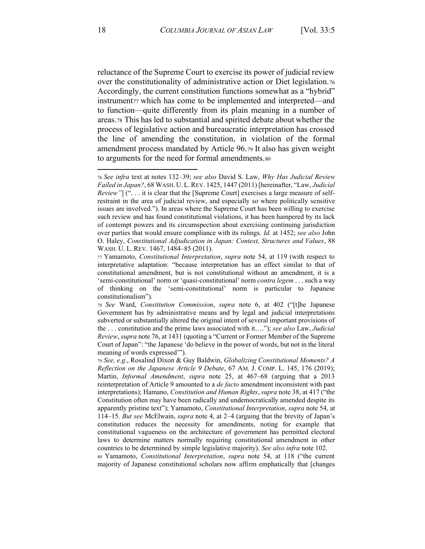reluctance of the Supreme Court to exercise its power of judicial review over the constitutionality of administrative action or Diet legislation.76 Accordingly, the current constitution functions somewhat as a "hybrid" instrument<sub>77</sub> which has come to be implemented and interpreted—and to function—quite differently from its plain meaning in a number of areas.78 This has led to substantial and spirited debate about whether the process of legislative action and bureaucratic interpretation has crossed the line of amending the constitution, in violation of the formal amendment process mandated by Article 96.79 It also has given weight to arguments for the need for formal amendments.80

<sup>76</sup> *See infra* text at notes 132±39; *see also* David S. Law, *Why Has Judicial Review Failed in Japan?*, 68 WASH. U.L. REV. 1425, 1447 (2011) [hereinafter, "Law, *Judicial Review*" ("... it is clear that the [Supreme Court] exercises a large measure of selfrestraint in the area of judicial review, and especially so where politically sensitive issues are involved."). In areas where the Supreme Court has been willing to exercise such review and has found constitutional violations, it has been hampered by its lack of contempt powers and its circumspection about exercising continuing jurisdiction over parties that would ensure compliance with its rulings. *Id.* at 1452; *see also* John O. Haley, *Constitutional Adjudication in Japan: Context, Structures and Values*, 88 WASH. U. L. REV. 1467, 1484-85 (2011).

<sup>77</sup> Yamamoto, *Constitutional Interpretation*, *supra* note 54, at 119 (with respect to interpretative adaptation: "because interpretation has an effect similar to that of constitutional amendment, but is not constitutional without an amendment, it is a 'semi-constitutional' norm or 'quasi-constitutional' norm *contra legem* . . . such a way of thinking on the 'semi-constitutional' norm is particular to Japanese constitutionalism").

<sup>78</sup> See Ward, Constitution Commission, *supra* note 6, at 402 ("[t]he Japanese Government has by administrative means and by legal and judicial interpretations subverted or substantially altered the original intent of several important provisions of the ... constitution and the prime laws associated with it...."); *see also* Law, *Judicial Review, supra* note 76, at 1431 (quoting a "Current or Former Member of the Supreme Court of Japan": "the Japanese 'do believe in the power of words, but not in the literal meaning of words expressed".

<sup>79</sup> *See, e.g*., Rosalind Dixon & Guy Baldwin, *Globalizing Constitutional Moments? A Reflection on the Japanese Article 9 Debate*, 67 AM. J. COMP. L. 145, 176 (2019); Martin, *Informal Amendment*, *supra* note 25, at 467–68 (arguing that a 2013 reinterpretation of Article 9 amounted to a *de facto* amendment inconsistent with past interpretations); Hamano, *Constitution and Human Rights*, *supra* note 38, at 417 ("the Constitution often may have been radically and undemocratically amended despite its apparently pristine text"); Yamamoto, *Constitutional Interpretation*, *supra* note 54, at  $114-15$ . *But see* McElwain, *supra* note 4, at  $2-4$  (arguing that the brevity of Japan's constitution reduces the necessity for amendments, noting for example that constitutional vagueness on the architecture of government has permitted electoral laws to determine matters normally requiring constitutional amendment in other countries to be determined by simple legislative majority). *See also infra* note 102.

<sup>80</sup> Yamamoto, *Constitutional Interpretation*, *supra* note 54, at 118 ("the current majority of Japanese constitutional scholars now affirm emphatically that [changes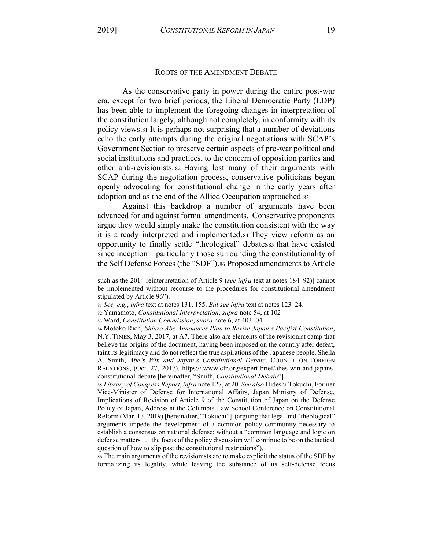## ROOTS OF THE AMENDMENT DEBATE

As the conservative party in power during the entire post-war era, except for two brief periods, the Liberal Democratic Party (LDP) has been able to implement the foregoing changes in interpretation of the constitution largely, although not completely, in conformity with its policy views.81 It is perhaps not surprising that a number of deviations echo the early attempts during the original negotiations with SCAP's Government Section to preserve certain aspects of pre-war political and social institutions and practices, to the concern of opposition parties and other anti-revisionists. <sup>82</sup> Having lost many of their arguments with SCAP during the negotiation process, conservative politicians began openly advocating for constitutional change in the early years after adoption and as the end of the Allied Occupation approached.83

Against this backdrop a number of arguments have been advanced for and against formal amendments. Conservative proponents argue they would simply make the constitution consistent with the way it is already interpreted and implemented.84 They view reform as an opportunity to finally settle "theological" debatesss that have existed since inception—particularly those surrounding the constitutionality of the Self Defense Forces (the "SDF").86 Proposed amendments to Article

<sup>86</sup> The main arguments of the revisionists are to make explicit the status of the SDF by formalizing its legality, while leaving the substance of its self-defense focus

such as the 2014 reinterpretation of Article 9 (*see infra* text at notes 184-92)] cannot be implemented without recourse to the procedures for constitutional amendment stipulated by Article 96").

<sup>81</sup> *See, e.g., infra* text at notes 131, 155. *But see infra* text at notes 123–24.

<sup>82</sup> Yamamoto, *Constitutional Interpretation*, *supra* note 54, at 102

<sup>83</sup> Ward, *Constitution Commission*, *supra* note 6, at 403-04.

<sup>84</sup> Motoko Rich, *Shinzo Abe Announces Plan to Revise Japan's Pacifist Constitution*, N.Y. TIMES, May 3, 2017, at A7. There also are elements of the revisionist camp that believe the origins of the document, having been imposed on the country after defeat, taint its legitimacy and do not reflect the true aspirations of the Japanese people. Sheila A. Smith, *Abe's Win and Japan's Constitutional Debate*, COUNCIL ON FOREIGN RELATIONS, (Oct. 27, 2017), https://.www.cfr.org/expert-brief/abes-win-and-japansconstitutional-debate [hereinafter, "Smith, *Constitutional Debate*"].

<sup>85</sup> *Library of Congress Report*, *infra* note 127, at 20. *See also* Hideshi Tokuchi, Former Vice-Minister of Defense for International Affairs, Japan Ministry of Defense, Implications of Revision of Article 9 of the Constitution of Japan on the Defense Policy of Japan, Address at the Columbia Law School Conference on Constitutional Reform (Mar. 13, 2019) [hereinafter, "Tokuchi"] (arguing that legal and "theological" arguments impede the development of a common policy community necessary to establish a consensus on national defense; without a "common language and logic on defense matters . . . the focus of the policy discussion will continue to be on the tactical question of how to slip past the constitutional restrictions".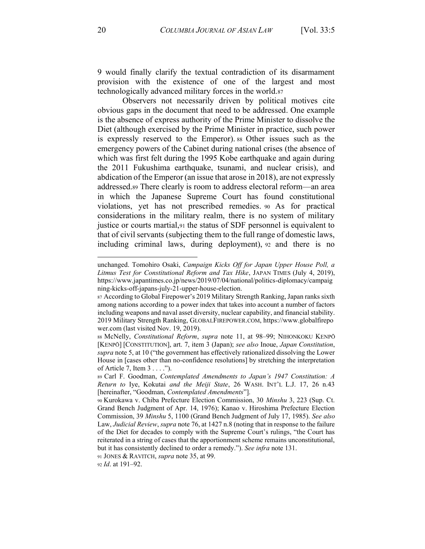9 would finally clarify the textual contradiction of its disarmament provision with the existence of one of the largest and most technologically advanced military forces in the world.87

Observers not necessarily driven by political motives cite obvious gaps in the document that need to be addressed. One example is the absence of express authority of the Prime Minister to dissolve the Diet (although exercised by the Prime Minister in practice, such power is expressly reserved to the Emperor). <sup>88</sup> Other issues such as the emergency powers of the Cabinet during national crises (the absence of which was first felt during the 1995 Kobe earthquake and again during the 2011 Fukushima earthquake, tsunami, and nuclear crisis), and abdication of the Emperor (an issue that arose in 2018), are not expressly addressed.89 There clearly is room to address electoral reform—an area in which the Japanese Supreme Court has found constitutional violations, yet has not prescribed remedies. <sup>90</sup> As for practical considerations in the military realm, there is no system of military justice or courts martial,91 the status of SDF personnel is equivalent to that of civil servants (subjecting them to the full range of domestic laws, including criminal laws, during deployment), <sup>92</sup> and there is no

<sup>91</sup> JONES & RAVITCH, *supra* note 35, at 99.

92 *Id.* at 191-92.

unchanged. Tomohiro Osaki, *Campaign Kicks Off for Japan Upper House Poll, a Litmus Test for Constitutional Reform and Tax Hike*, JAPAN TIMES (July 4, 2019), https://www.japantimes.co.jp/news/2019/07/04/national/politics-diplomacy/campaig ning-kicks-off-japans-july-21-upper-house-election.

<sup>87</sup> According to Global Firepower's 2019 Military Strength Ranking, Japan ranks sixth among nations according to a power index that takes into account a number of factors including weapons and naval asset diversity, nuclear capability, and financial stability. 2019 Military Strength Ranking, GLOBALFIREPOWER.COM, https://www.globalfirepo wer.com (last visited Nov. 19, 2019).

<sup>88</sup> McNelly, *Constitutional Reform*, *supra* note 11, at 98-99; NIHONKOKU KENPŌ [KENPƿ] [CONSTITUTION], art. 7, item 3 (Japan); *see also* Inoue, *Japan Constitution*, *supra* note 5, at 10 ("the government has effectively rationalized dissolving the Lower House in [cases other than no-confidence resolutions] by stretching the interpretation Rf AUWicOe 7, IWeP 3 . . . .´).

<sup>89</sup> Carl F. Goodman, *Contemplated Amendments to Japan's 1947 Constitution: A Return to Iye, Kokutai and the Meiji State, 26 WASH. INT'L L.J. 17, 26 n.43* [hereinafter, "Goodman, *Contemplated Amendments*"].

<sup>90</sup> Kurokawa v. Chiba Prefecture Election Commission, 30 *Minshu* 3, 223 (Sup. Ct. Grand Bench Judgment of Apr. 14, 1976); Kanao v. Hiroshima Prefecture Election Commission, 39 *Minshu* 5, 1100 (Grand Bench Judgment of July 17, 1985). *See also* Law, *Judicial Review*, *supra* note 76, at 1427 n.8 (noting that in response to the failure of the Diet for decades to comply with the Supreme Court's rulings, "the Court has reiterated in a string of cases that the apportionment scheme remains unconstitutional, but it has consistently declined to order a remedy.<sup>"</sup>). *See infra* note 131.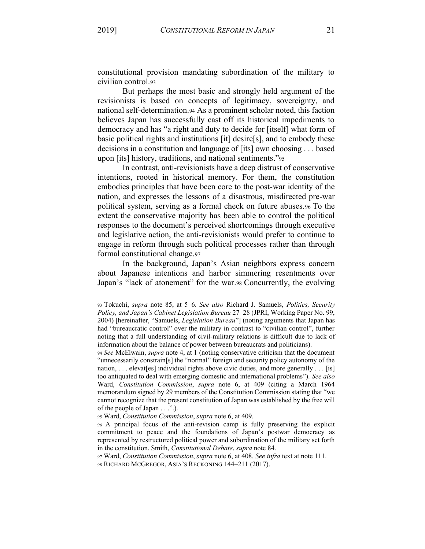constitutional provision mandating subordination of the military to civilian control.93

But perhaps the most basic and strongly held argument of the revisionists is based on concepts of legitimacy, sovereignty, and national self-determination.94 As a prominent scholar noted, this faction believes Japan has successfully cast off its historical impediments to democracy and has "a right and duty to decide for [itself] what form of basic political rights and institutions [it] desire[s], and to embody these decisions in a constitution and language of [its] own choosing . . . based upon [its] history, traditions, and national sentiments.´<sup>95</sup>

In contrast, anti-revisionists have a deep distrust of conservative intentions, rooted in historical memory. For them, the constitution embodies principles that have been core to the post-war identity of the nation, and expresses the lessons of a disastrous, misdirected pre-war political system, serving as a formal check on future abuses.96 To the extent the conservative majority has been able to control the political responses to the document's perceived shortcomings through executive and legislative action, the anti-revisionists would prefer to continue to engage in reform through such political processes rather than through formal constitutional change.97

In the background, Japan's Asian neighbors express concern about Japanese intentions and harbor simmering resentments over Japan's "lack of atonement" for the war.98 Concurrently, the evolving

<sup>93</sup> Tokuchi, *supra* note 85, at 5-6. *See also* Richard J. Samuels, *Politics, Security Polic\, and Japan¶s Cabinet Legislation Bureau* 27±28 (JPRI, Working Paper No. 99, 2004) [hereinafter, "Samuels, *Legislation Bureau*"] (noting arguments that Japan has had "bureaucratic control" over the military in contrast to "civilian control", further noting that a full understanding of civil-military relations is difficult due to lack of information about the balance of power between bureaucrats and politicians).

<sup>94</sup> *See* McElwain, *supra* note 4, at 1 (noting conservative criticism that the document "unnecessarily constrain[s] the "normal" foreign and security policy autonomy of the nation, ... elevat[es] individual rights above civic duties, and more generally ... [is] too antiquated to deal with emerging domestic and international problems"). *See also* Ward, *Constitution Commission*, *supra* note 6, at 409 (citing a March 1964 memorandum signed by 29 members of the Constitution Commission stating that "we cannot recognize that the present constitution of Japan was established by the free will of the people of Japan  $\dots$ ".).

<sup>95</sup> Ward, *Constitution Commission*, *supra* note 6, at 409.

<sup>96</sup> A principal focus of the anti-revision camp is fully preserving the explicit commitment to peace and the foundations of Japan's postwar democracy as represented by restructured political power and subordination of the military set forth in the constitution. Smith, *Constitutional Debate*, *supra* note 84.

<sup>97</sup> Ward, *Constitution Commission*, *supra* note 6, at 408. *See infra* text at note 111.

<sup>98</sup> RICHARD MCGREGOR, ASIA'S RECKONING 144-211 (2017).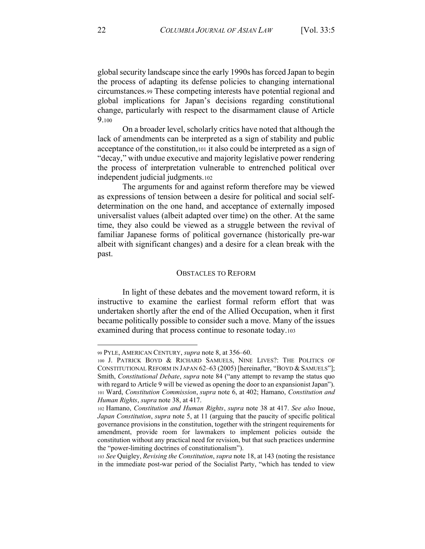global security landscape since the early 1990s has forced Japan to begin the process of adapting its defense policies to changing international circumstances.99 These competing interests have potential regional and global implications for Japan's decisions regarding constitutional change, particularly with respect to the disarmament clause of Article 9.100

On a broader level, scholarly critics have noted that although the lack of amendments can be interpreted as a sign of stability and public acceptance of the constitution,101 it also could be interpreted as a sign of "decay," with undue executive and majority legislative power rendering the process of interpretation vulnerable to entrenched political over independent judicial judgments.102

The arguments for and against reform therefore may be viewed as expressions of tension between a desire for political and social selfdetermination on the one hand, and acceptance of externally imposed universalist values (albeit adapted over time) on the other. At the same time, they also could be viewed as a struggle between the revival of familiar Japanese forms of political governance (historically pre-war albeit with significant changes) and a desire for a clean break with the past.

#### OBSTACLES TO REFORM

In light of these debates and the movement toward reform, it is instructive to examine the earliest formal reform effort that was undertaken shortly after the end of the Allied Occupation, when it first became politically possible to consider such a move. Many of the issues examined during that process continue to resonate today.103

<sup>99</sup> PYLE, AMERICAN CENTURY, *supra* note 8, at 356–60.

<sup>100</sup> J. PATRICK BOYD & RICHARD SAMUELS, NINE LIVES?: THE POLITICS OF CONSTITUTIONAL REFORM IN JAPAN 62–63 (2005) [hereinafter, "BOYD & SAMUELS"]; Smith, *Constitutional Debate*, *supra* note 84 ("any attempt to revamp the status quo with regard to Article 9 will be viewed as opening the door to an expansionist Japan"). <sup>101</sup> Ward, *Constitution Commission*, *supra* note 6, at 402; Hamano, *Constitution and Human Rights*, *supra* note 38, at 417.

<sup>102</sup> Hamano, *Constitution and Human Rights*, *supra* note 38 at 417. *See also* Inoue, *Japan Constitution*, *supra* note 5, at 11 (arguing that the paucity of specific political governance provisions in the constitution, together with the stringent requirements for amendment, provide room for lawmakers to implement policies outside the constitution without any practical need for revision, but that such practices undermine the "power-limiting doctrines of constitutionalism").

<sup>103</sup> *See* Quigley, *Revising the Constitution*, *supra* note 18, at 143 (noting the resistance in the immediate post-war period of the Socialist Party, "which has tended to view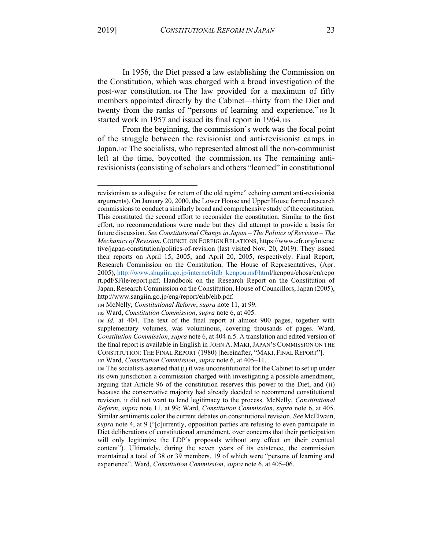In 1956, the Diet passed a law establishing the Commission on the Constitution, which was charged with a broad investigation of the post-war constitution. <sup>104</sup> The law provided for a maximum of fifty members appointed directly by the Cabinet—thirty from the Diet and twenty from the ranks of "persons of learning and experience."105 It started work in 1957 and issued its final report in 1964.106

From the beginning, the commission's work was the focal point of the struggle between the revisionist and anti-revisionist camps in Japan.107 The socialists, who represented almost all the non-communist left at the time, boycotted the commission. <sup>108</sup> The remaining antirevisionists (consisting of scholars and others "learned" in constitutional

revisionism as a disguise for return of the old regime" echoing current anti-revisionist arguments). On January 20, 2000, the Lower House and Upper House formed research commissions to conduct a similarly broad and comprehensive study of the constitution. This constituted the second effort to reconsider the constitution. Similar to the first effort, no recommendations were made but they did attempt to provide a basis for future discussion. *See Constitutional Change in Japan - The Politics of Revision - The Mechanics of Revision*, COUNCIL ON FOREIGN RELATIONS, https://www.cfr.org/interac tive/japan-constitution/politics-of-revision (last visited Nov. 20, 2019). They issued their reports on April 15, 2005, and April 20, 2005, respectively. Final Report, Research Commission on the Constitution, The House of Representatives, (Apr. 2005), http://www.shugiin.go.jp/internet/itdb\_kenpou.nsf/html/kenpou/chosa/en/repo rt.pdf/\$File/report.pdf; Handbook on the Research Report on the Constitution of Japan, Research Commission on the Constitution, House of Councillors, Japan (2005), http://www.sangiin.go.jp/eng/report/ehb/ehb.pdf.

<sup>104</sup> McNelly, *Constitutional Reform*, *supra* note 11, at 99.

<sup>105</sup> Ward, *Constitution Commission*, *supra* note 6, at 405.

<sup>106</sup> *Id.* at 404. The text of the final report at almost 900 pages, together with supplementary volumes, was voluminous, covering thousands of pages. Ward, *Constitution Commission*, *supra* note 6, at 404 n.5. A translation and edited version of the final report is available in English in JOHN A. MAKI, JAPAN'S COMMISSION ON THE CONSTITUTION: THE FINAL REPORT (1980) [hereinafter, "MAKI, FINAL REPORT"]. 107 Ward, *Constitution Commission*, *supra* note 6, at 405–11.

<sup>108</sup> The socialists asserted that (i) it was unconstitutional for the Cabinet to set up under its own jurisdiction a commission charged with investigating a possible amendment, arguing that Article 96 of the constitution reserves this power to the Diet, and (ii) because the conservative majority had already decided to recommend constitutional revision, it did not want to lend legitimacy to the process. McNelly, *Constitutional Reform*, *supra* note 11, at 99; Ward, *Constitution Commission*, *supra* note 6, at 405. Similar sentiments color the current debates on constitutional revision. *See* McElwain, *supra* note 4, at 9 ("[c]urrently, opposition parties are refusing to even participate in Diet deliberations of constitutional amendment, over concerns that their participation will only legitimize the LDP's proposals without any effect on their eventual content"). Ultimately, during the seven years of its existence, the commission maintained a total of 38 or 39 members, 19 of which were "persons of learning and experience". Ward, *Constitution Commission*, *supra* note 6, at 405-06.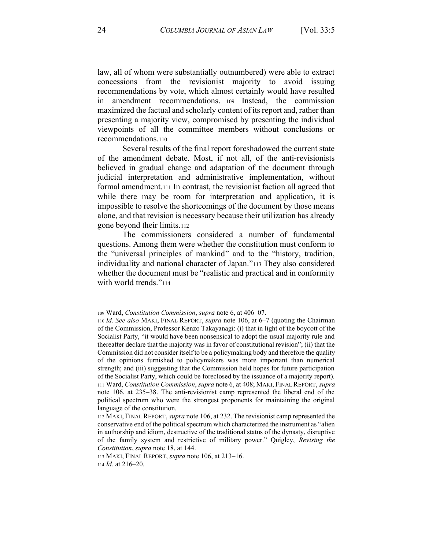law, all of whom were substantially outnumbered) were able to extract concessions from the revisionist majority to avoid issuing recommendations by vote, which almost certainly would have resulted in amendment recommendations. <sup>109</sup> Instead, the commission maximized the factual and scholarly content of its report and, rather than presenting a majority view, compromised by presenting the individual viewpoints of all the committee members without conclusions or recommendations.110

Several results of the final report foreshadowed the current state of the amendment debate. Most, if not all, of the anti-revisionists believed in gradual change and adaptation of the document through judicial interpretation and administrative implementation, without formal amendment.111 In contrast, the revisionist faction all agreed that while there may be room for interpretation and application, it is impossible to resolve the shortcomings of the document by those means alone, and that revision is necessary because their utilization has already gone beyond their limits.112

The commissioners considered a number of fundamental questions. Among them were whether the constitution must conform to the "universal principles of mankind" and to the "history, tradition, individuality and national character of Japan."113 They also considered whether the document must be "realistic and practical and in conformity with world trends. $v_{114}$ 

<sup>109</sup> Ward, *Constitution Commission*, *supra* note 6, at 406-07.

<sup>110</sup> *Id. See also* MAKI, FINAL REPORT, *supra* note 106, at 6-7 (quoting the Chairman of the Commission, Professor Kenzo Takayanagi: (i) that in light of the boycott of the Socialist Party, "it would have been nonsensical to adopt the usual majority rule and thereafter declare that the majority was in favor of constitutional revision"; (ii) that the Commission did not consider itself to be a policymaking body and therefore the quality of the opinions furnished to policymakers was more important than numerical strength; and (iii) suggesting that the Commission held hopes for future participation of the Socialist Party, which could be foreclosed by the issuance of a majority report). <sup>111</sup> Ward, *Constitution Commission*, *supra* note 6, at 408; MAKI, FINAL REPORT, *supra*  note 106, at 235-38. The anti-revisionist camp represented the liberal end of the political spectrum who were the strongest proponents for maintaining the original language of the constitution.

<sup>112</sup> MAKI, FINAL REPORT, *supra* note 106, at 232. The revisionist camp represented the conservative end of the political spectrum which characterized the instrument as "alien" in authorship and idiom, destructive of the traditional status of the dynasty, disruptive of the family system and restrictive of military power." Quigley, *Revising the Constitution*, *supra* note 18, at 144.

<sup>113</sup> MAKI, FINAL REPORT, *supra* note 106, at 213–16.  $114$  *Id.* at  $216-20$ .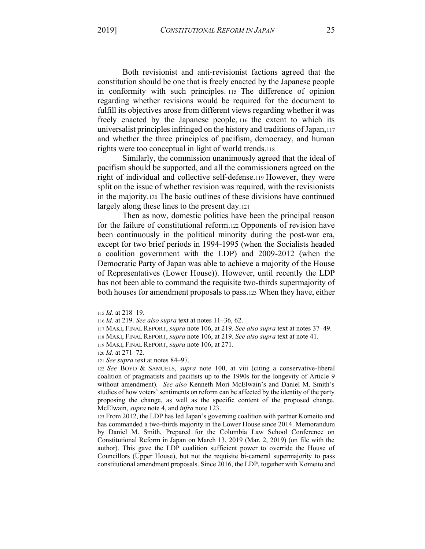Both revisionist and anti-revisionist factions agreed that the constitution should be one that is freely enacted by the Japanese people in conformity with such principles. <sup>115</sup> The difference of opinion regarding whether revisions would be required for the document to fulfill its objectives arose from different views regarding whether it was freely enacted by the Japanese people, <sup>116</sup> the extent to which its universalist principles infringed on the history and traditions of Japan,117 and whether the three principles of pacifism, democracy, and human rights were too conceptual in light of world trends.118

Similarly, the commission unanimously agreed that the ideal of pacifism should be supported, and all the commissioners agreed on the right of individual and collective self-defense.119 However, they were split on the issue of whether revision was required, with the revisionists in the majority.120 The basic outlines of these divisions have continued largely along these lines to the present day.121

Then as now, domestic politics have been the principal reason for the failure of constitutional reform.122 Opponents of revision have been continuously in the political minority during the post-war era, except for two brief periods in 1994-1995 (when the Socialists headed a coalition government with the LDP) and 2009-2012 (when the Democratic Party of Japan was able to achieve a majority of the House of Representatives (Lower House)). However, until recently the LDP has not been able to command the requisite two-thirds supermajority of both houses for amendment proposals to pass.123 When they have, either

<sup>115</sup> *Id.* at 218-19.

<sup>116</sup> *Id.* at 219. *See also supra* text at notes 11-36, 62.

<sup>117</sup> MAKI, FINAL REPORT, *supra* note 106, at 219. *See also supra* text at notes 37–49.

<sup>118</sup> MAKI, FINAL REPORT, *supra* note 106, at 219. *See also supra* text at note 41.

<sup>119</sup> MAKI, FINAL REPORT, *supra* note 106, at 271.

<sup>120</sup> *Id.* at 271-72.

<sup>121</sup> *See supra* text at notes 84–97.

<sup>122</sup> *See* BOYD & SAMUELS, *supra* note 100, at viii (citing a conservative-liberal coalition of pragmatists and pacifists up to the 1990s for the longevity of Article 9 without amendment). *See also* Kenneth Mori McElwain's and Daniel M. Smith's studies of how voters' sentiments on reform can be affected by the identity of the party proposing the change, as well as the specific content of the proposed change. McElwain, *supra* note 4, and *infra* note 123.

<sup>123</sup> From 2012, the LDP has led Japan's governing coalition with partner Komeito and has commanded a two-thirds majority in the Lower House since 2014. Memorandum by Daniel M. Smith, Prepared for the Columbia Law School Conference on Constitutional Reform in Japan on March 13, 2019 (Mar. 2, 2019) (on file with the author). This gave the LDP coalition sufficient power to override the House of Councillors (Upper House), but not the requisite bi-cameral supermajority to pass constitutional amendment proposals. Since 2016, the LDP, together with Komeito and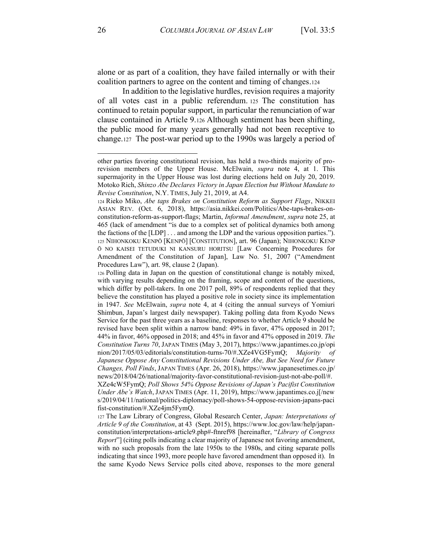alone or as part of a coalition, they have failed internally or with their coalition partners to agree on the content and timing of changes.124

In addition to the legislative hurdles, revision requires a majority of all votes cast in a public referendum. <sup>125</sup> The constitution has continued to retain popular support, in particular the renunciation of war clause contained in Article 9.126 Although sentiment has been shifting, the public mood for many years generally had not been receptive to change.127 The post-war period up to the 1990s was largely a period of

other parties favoring constitutional revision, has held a two-thirds majority of prorevision members of the Upper House. McElwain, *supra* note 4, at 1. This supermajority in the Upper House was lost during elections held on July 20, 2019. Motoko Rich, *Shinzo Abe Declares Victory in Japan Election but Without Mandate to Revise Constitution*, N.Y. TIMES,July 21, 2019, at A4.

<sup>124</sup> Rieko Miko, *Abe taps Brakes on Constitution Reform as Support Flags*, NIKKEI ASIAN REV. (Oct. 6, 2018), https://asia.nikkei.com/Politics/Abe-taps-brakes-onconstitution-reform-as-support-flags; Martin, *Informal Amendment*, *supra* note 25, at 465 (lack of amendment "is due to a complex set of political dynamics both among the factions of the  $[LDP] \ldots$  and among the LDP and the various opposition parties."). 125 NIHONKOKU KENPŌ [KENPŌ] [CONSTITUTION], art. 96 (Japan); NIHONKOKU KENP ƿ NO KAISEI TETUDUKI NI KANSURU HORITSU [Law Concerning Procedures for Amendment of the Constitution of Japan], Law No. 51, 2007 ("Amendment Procedures Law"), art. 98, clause 2 (Japan).

<sup>126</sup> Polling data in Japan on the question of constitutional change is notably mixed, with varying results depending on the framing, scope and content of the questions, which differ by poll-takers. In one 2017 poll, 89% of respondents replied that they believe the constitution has played a positive role in society since its implementation in 1947. *See* McElwain, *supra* note 4, at 4 (citing the annual surveys of Yomiuri Shimbun, Japan's largest daily newspaper). Taking polling data from Kyodo News Service for the past three years as a baseline, responses to whether Article 9 should be revised have been split within a narrow band: 49% in favor, 47% opposed in 2017; 44% in favor, 46% opposed in 2018; and 45% in favor and 47% opposed in 2019. *The Constitution Turns 70*, JAPAN TIMES (May 3, 2017), https://www.japantimes.co.jp/opi nion/2017/05/03/editorials/constitution-turns-70/#.XZe4VG5FymQ; *Majority of Japanese Oppose Any Constitutional Revisions Under Abe, But See Need for Future Changes, Poll Finds*, JAPAN TIMES (Apr. 26, 2018), https://www.japanesetimes.co.jp/ news/2018/04/26/national/majority-favor-constitutional-revision-just-not-abe-poll/#. XZe4cW5FymQ; Poll Shows 54% Oppose Revisions of Japan's Pacifist Constitution *Under Abe's Watch*, JAPAN TIMES (Apr. 11, 2019), https://www.japantimes.co.j[/new s/2019/04/11/national/politics-diplomacy/poll-shows-54-oppose-revision-japans-paci fist-constitution/#.XZe4jm5FymQ.

<sup>127</sup> The Law Library of Congress, Global Research Center, *Japan: Interpretations of Article 9 of the Constitution*, at 43 (Sept. 2015), https://www.loc.gov/law/help/japanconstitution/interpretations-article9.php#-ftnref98 [hereinafter, "Library of Congress *Report*<sup>\*</sup>] (citing polls indicating a clear majority of Japanese not favoring amendment, with no such proposals from the late 1950s to the 1980s, and citing separate polls indicating that since 1993, more people have favored amendment than opposed it). In the same Kyodo News Service polls cited above, responses to the more general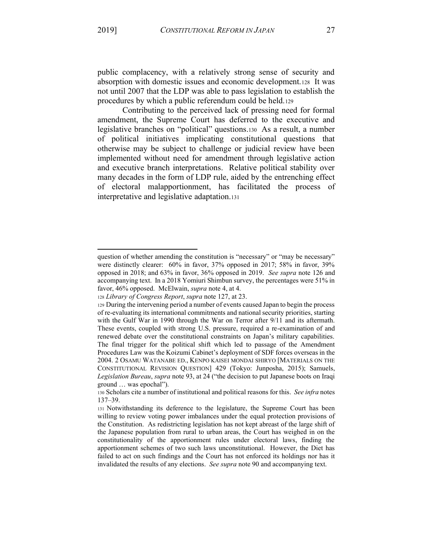public complacency, with a relatively strong sense of security and absorption with domestic issues and economic development.128 It was not until 2007 that the LDP was able to pass legislation to establish the procedures by which a public referendum could be held.129

Contributing to the perceived lack of pressing need for formal amendment, the Supreme Court has deferred to the executive and legislative branches on "political" questions.130 As a result, a number of political initiatives implicating constitutional questions that otherwise may be subject to challenge or judicial review have been implemented without need for amendment through legislative action and executive branch interpretations. Relative political stability over many decades in the form of LDP rule, aided by the entrenching effect of electoral malapportionment, has facilitated the process of interpretative and legislative adaptation.131

question of whether amending the constitution is "necessary" or "may be necessary" were distinctly clearer: 60% in favor, 37% opposed in 2017; 58% in favor, 39% opposed in 2018; and 63% in favor, 36% opposed in 2019. *See supra* note 126 and accompanying text. In a 2018 Yomiuri Shimbun survey, the percentages were 51% in favor, 46% opposed. McElwain, *supra* note 4, at 4.

<sup>128</sup> *Library of Congress Report*, *supra* note 127, at 23.

<sup>129</sup> During the intervening period a number of events caused Japan to begin the process of re-evaluating its international commitments and national security priorities, starting with the Gulf War in 1990 through the War on Terror after 9/11 and its aftermath. These events, coupled with strong U.S. pressure, required a re-examination of and renewed debate over the constitutional constraints on Japan's military capabilities. The final trigger for the political shift which led to passage of the Amendment Procedures Law was the Koizumi Cabinet's deployment of SDF forces overseas in the 2004. 2 OSAMU WATANABE ED., KENPO KAISEI MONDAI SHIRYO [MATERIALS ON THE CONSTITUTIONAL REVISION QUESTION] 429 (Tokyo: Junposha, 2015); Samuels, *Legislation Bureau, supra* note 93, at 24 ("the decision to put Japanese boots on Iraqi ground ... was epochal").

<sup>130</sup> Scholars cite a number of institutional and political reasons for this. *See infra* notes 137±39.

<sup>131</sup> Notwithstanding its deference to the legislature, the Supreme Court has been willing to review voting power imbalances under the equal protection provisions of the Constitution. As redistricting legislation has not kept abreast of the large shift of the Japanese population from rural to urban areas, the Court has weighed in on the constitutionality of the apportionment rules under electoral laws, finding the apportionment schemes of two such laws unconstitutional. However, the Diet has failed to act on such findings and the Court has not enforced its holdings nor has it invalidated the results of any elections. *See supra* note 90 and accompanying text.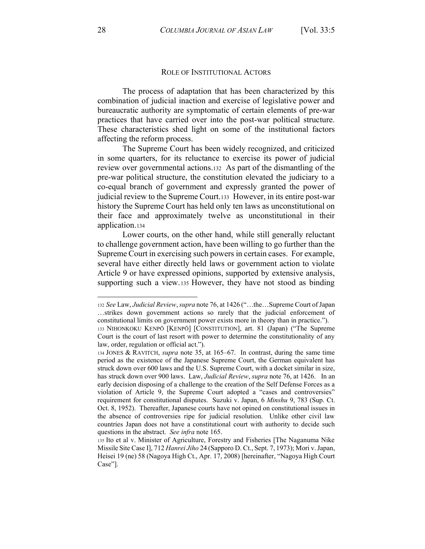## ROLE OF INSTITUTIONAL ACTORS

The process of adaptation that has been characterized by this combination of judicial inaction and exercise of legislative power and bureaucratic authority are symptomatic of certain elements of pre-war practices that have carried over into the post-war political structure. These characteristics shed light on some of the institutional factors affecting the reform process.

The Supreme Court has been widely recognized, and criticized in some quarters, for its reluctance to exercise its power of judicial review over governmental actions.132 As part of the dismantling of the pre-war political structure, the constitution elevated the judiciary to a co-equal branch of government and expressly granted the power of judicial review to the Supreme Court.133 However, in its entire post-war history the Supreme Court has held only ten laws as unconstitutional on their face and approximately twelve as unconstitutional in their application.134

Lower courts, on the other hand, while still generally reluctant to challenge government action, have been willing to go further than the Supreme Court in exercising such powers in certain cases. For example, several have either directly held laws or government action to violate Article 9 or have expressed opinions, supported by extensive analysis, supporting such a view.135 However, they have not stood as binding

<sup>132</sup> *See* Law, *Judicial Review*, *supra* note 76, at 1426 ("...the... Supreme Court of Japan ...strikes down government actions so rarely that the judicial enforcement of constitutional limits on government power exists more in theory than in practice."). 133 NIHONKOKU KENPŌ [KENPŌ] [CONSTITUTION], art. 81 (Japan) ("The Supreme

Court is the court of last resort with power to determine the constitutionality of any law, order, regulation or official act.").

<sup>134</sup> JONES & RAVITCH, *supra* note 35, at 165–67. In contrast, during the same time period as the existence of the Japanese Supreme Court, the German equivalent has struck down over 600 laws and the U.S. Supreme Court, with a docket similar in size, has struck down over 900 laws. Law, *Judicial Review*, *supra* note 76, at 1426. In an early decision disposing of a challenge to the creation of the Self Defense Forces as a violation of Article 9, the Supreme Court adopted a "cases and controversies" requirement for constitutional disputes. Suzuki v. Japan, 6 *Minshu* 9, 783 (Sup. Ct. Oct. 8, 1952). Thereafter, Japanese courts have not opined on constitutional issues in the absence of controversies ripe for judicial resolution. Unlike other civil law countries Japan does not have a constitutional court with authority to decide such questions in the abstract. *See infra* note 165.

<sup>135</sup> Ito et al v. Minister of Agriculture, Forestry and Fisheries [The Naganuma Nike Missile Site Case I], 712 *Hanrei Jiho* 24 (Sapporo D. Ct., Sept. 7, 1973); Mori v. Japan, Heisei 19 (ne) 58 (Nagoya High Ct., Apr. 17, 2008) [hereinafter, "Nagoya High Court Case"].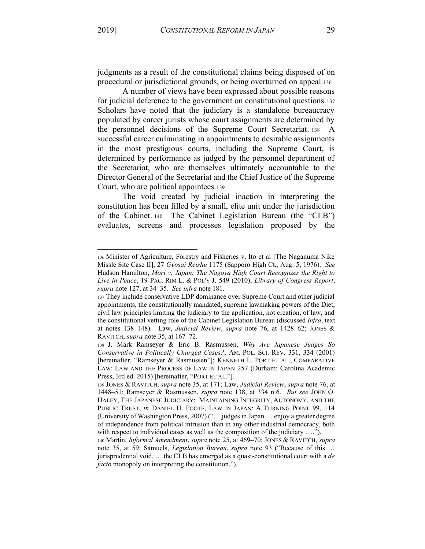judgments as a result of the constitutional claims being disposed of on procedural or jurisdictional grounds, or being overturned on appeal.136

A number of views have been expressed about possible reasons for judicial deference to the government on constitutional questions.137 Scholars have noted that the judiciary is a standalone bureaucracy populated by career jurists whose court assignments are determined by the personnel decisions of the Supreme Court Secretariat. 138 A successful career culminating in appointments to desirable assignments in the most prestigious courts, including the Supreme Court, is determined by performance as judged by the personnel department of the Secretariat, who are themselves ultimately accountable to the Director General of the Secretariat and the Chief Justice of the Supreme Court, who are political appointees.139

The void created by judicial inaction in interpreting the constitution has been filled by a small, elite unit under the jurisdiction of the Cabinet. 140 The Cabinet Legislation Bureau (the "CLB") evaluates, screens and processes legislation proposed by the

<sup>136</sup> Minister of Agriculture, Forestry and Fisheries v. Ito et al [The Naganuma Nike Missle Site Case II], 27 *Gyosai Reishu* 1175 (Sapporo High Ct., Aug. 5, 1976). *See* Hudson Hamilton, *Mori v. Japan: The Nagoya High Court Recognizes the Right to Live in Peace*, 19 PAC. RIM L. & POL'Y J. 549 (2010); *Library of Congress Report*, *supra* note 127, at 34–35. *See infra* note 181.

<sup>137</sup> They include conservative LDP dominance over Supreme Court and other judicial appointments, the constitutionally mandated, supreme lawmaking powers of the Diet, civil law principles limiting the judiciary to the application, not creation, of law, and the constitutional vetting role of the Cabinet Legislation Bureau (discussed *infra*, text at notes 138-148). Law, *Judicial Review*, *supra* note 76, at 1428-62; JONES & RAVITCH, *supra* note 35, at 167–72.

<sup>138</sup> J. Mark Ramseyer & Eric B. Rasmussen, *Why Are Japanese Judges So Conservative in Politically Charged Cases?*, AM. POL. SCI. REV. 331, 334 (2001) [hereinafter, "Ramseyer & Rasmussen"]; KENNETH L. PORT ET AL., COMPARATIVE LAW: LAW AND THE PROCESS OF LAW IN JAPAN 257 (Durham: Carolina Academic Press, 3rd ed. 2015) [hereinafter, "PORT ET AL."].

<sup>139</sup> JONES & RAVITCH, *supra* note 35, at 171; Law, *Judicial Review*, *supra* note 76, at 1448±51; Ramseyer & Rasmussen, *supra* note 138, at 334 n.6. *But see* JOHN O. HALEY, THE JAPANESE JUDICIARY: MAINTAINING INTEGRITY, AUTONOMY, AND THE PUBLIC TRUST, *in* DANIEL H. FOOTE, LAW IN JAPAN: A TURNING POINT 99, 114 (University of Washington Press, 2007) ("... judges in Japan ... enjoy a greater degree of independence from political intrusion than in any other industrial democracy, both with respect to individual cases as well as the composition of the judiciary  $\dots$ ").

<sup>140</sup> Martin, *Informal Amendment*, *supra* note 25, at 469-70; JONES & RAVITCH, *supra* note 35, at 59; Samuels, *Legislation Bureau*, *supra* note 93 ("Because of this ... jurisprudential void, ... the CLB has emerged as a quasi-constitutional court with a *de facto* monopoly on interpreting the constitution.").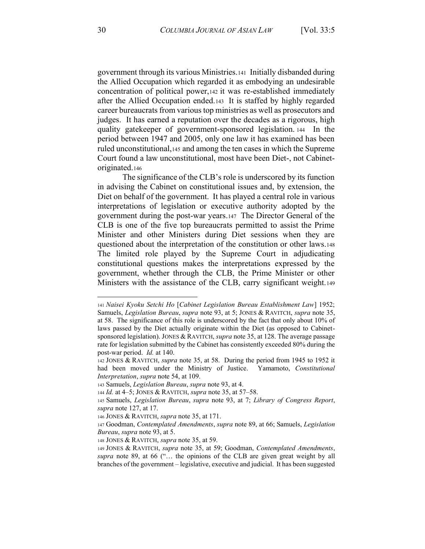government through its various Ministries.141 Initially disbanded during the Allied Occupation which regarded it as embodying an undesirable concentration of political power,142 it was re-established immediately after the Allied Occupation ended.143 It is staffed by highly regarded career bureaucrats from various top ministries as well as prosecutors and judges. It has earned a reputation over the decades as a rigorous, high quality gatekeeper of government-sponsored legislation. 144 In the period between 1947 and 2005, only one law it has examined has been ruled unconstitutional,145 and among the ten cases in which the Supreme Court found a law unconstitutional, most have been Diet-, not Cabinetoriginated.146

The significance of the CLB's role is underscored by its function in advising the Cabinet on constitutional issues and, by extension, the Diet on behalf of the government. It has played a central role in various interpretations of legislation or executive authority adopted by the government during the post-war years.147 The Director General of the CLB is one of the five top bureaucrats permitted to assist the Prime Minister and other Ministers during Diet sessions when they are questioned about the interpretation of the constitution or other laws.148 The limited role played by the Supreme Court in adjudicating constitutional questions makes the interpretations expressed by the government, whether through the CLB, the Prime Minister or other Ministers with the assistance of the CLB, carry significant weight.149

<sup>141</sup> *Naisei Kyoku Setchi Ho* [*Cabinet Legislation Bureau Establishment Law*] 1952; Samuels, *Legislation Bureau*, *supra* note 93, at 5; JONES & RAVITCH, *supra* note 35, at 58. The significance of this role is underscored by the fact that only about 10% of laws passed by the Diet actually originate within the Diet (as opposed to Cabinetsponsored legislation). JONES & RAVITCH, *supra* note 35, at 128. The average passage rate for legislation submitted by the Cabinet has consistently exceeded 80% during the post-war period. *Id.* at 140.

<sup>142</sup> JONES & RAVITCH, *supra* note 35, at 58. During the period from 1945 to 1952 it had been moved under the Ministry of Justice. Yamamoto, *Constitutional Interpretation*, *supra* note 54, at 109.

<sup>143</sup> Samuels, *Legislation Bureau*, *supra* note 93, at 4.

<sup>144</sup> *Id.* at 4-5; JONES & RAVITCH, *supra* note 35, at 57-58.

<sup>145</sup> Samuels, *Legislation Bureau*, *supra* note 93, at 7; *Library of Congress Report*, *supra* note 127, at 17.

<sup>146</sup> JONES & RAVITCH, *supra* note 35, at 171.

<sup>147</sup> Goodman, *Contemplated Amendments*, *supra* note 89, at 66; Samuels, *Legislation Bureau*, *supra* note 93, at 5.

<sup>148</sup> JONES & RAVITCH, *supra* note 35, at 59.

<sup>149</sup> JONES & RAVITCH, *supra* note 35, at 59; Goodman, *Contemplated Amendments*, supra note 89, at 66 ("... the opinions of the CLB are given great weight by all branches of the government – legislative, executive and judicial. It has been suggested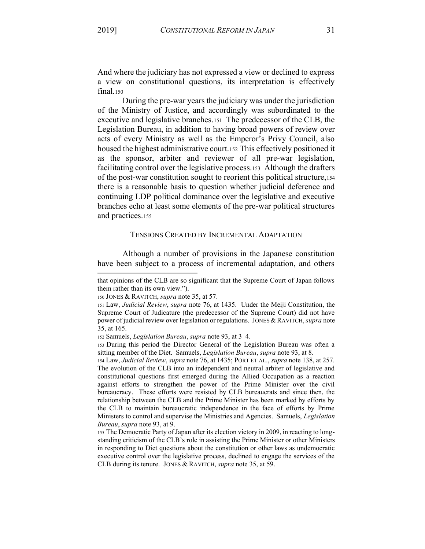a view on constitutional questions, its interpretation is effectively

And where the judiciary has not expressed a view or declined to express

final.150 During the pre-war years the judiciary was under the jurisdiction of the Ministry of Justice, and accordingly was subordinated to the executive and legislative branches.151 The predecessor of the CLB, the Legislation Bureau, in addition to having broad powers of review over acts of every Ministry as well as the Emperor's Privy Council, also housed the highest administrative court.152 This effectively positioned it as the sponsor, arbiter and reviewer of all pre-war legislation, facilitating control over the legislative process.153 Although the drafters of the post-war constitution sought to reorient this political structure,154 there is a reasonable basis to question whether judicial deference and continuing LDP political dominance over the legislative and executive branches echo at least some elements of the pre-war political structures and practices.155

### TENSIONS CREATED BY INCREMENTAL ADAPTATION

Although a number of provisions in the Japanese constitution have been subject to a process of incremental adaptation, and others

<sup>154</sup> Law, *Judicial Review*, *supra* note 76, at 1435; PORT ET AL., *supra* note 138, at 257. The evolution of the CLB into an independent and neutral arbiter of legislative and constitutional questions first emerged during the Allied Occupation as a reaction against efforts to strengthen the power of the Prime Minister over the civil bureaucracy. These efforts were resisted by CLB bureaucrats and since then, the relationship between the CLB and the Prime Minister has been marked by efforts by the CLB to maintain bureaucratic independence in the face of efforts by Prime Ministers to control and supervise the Ministries and Agencies. Samuels, *Legislation Bureau*, *supra* note 93, at 9.

<sup>155</sup> The Democratic Party of Japan after its election victory in 2009, in reacting to longstanding criticism of the CLB's role in assisting the Prime Minister or other Ministers in responding to Diet questions about the constitution or other laws as undemocratic executive control over the legislative process, declined to engage the services of the CLB during its tenure. JONES & RAVITCH, *supra* note 35, at 59.

that opinions of the CLB are so significant that the Supreme Court of Japan follows them rather than its own view.").

<sup>150</sup> JONES & RAVITCH, *supra* note 35, at 57.

<sup>151</sup> Law, *Judicial Review*, *supra* note 76, at 1435. Under the Meiji Constitution, the Supreme Court of Judicature (the predecessor of the Supreme Court) did not have power of judicial review over legislation or regulations. JONES & RAVITCH, *supra* note 35, at 165.

<sup>152</sup> Samuels, *Legislation Bureau*, *supra* note 93, at 3–4.

<sup>153</sup> During this period the Director General of the Legislation Bureau was often a sitting member of the Diet. Samuels, *Legislation Bureau*, *supra* note 93, at 8.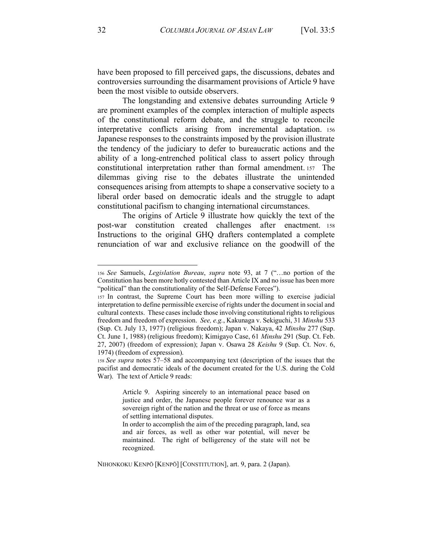have been proposed to fill perceived gaps, the discussions, debates and controversies surrounding the disarmament provisions of Article 9 have been the most visible to outside observers.

The longstanding and extensive debates surrounding Article 9 are prominent examples of the complex interaction of multiple aspects of the constitutional reform debate, and the struggle to reconcile interpretative conflicts arising from incremental adaptation. 156 Japanese responses to the constraints imposed by the provision illustrate the tendency of the judiciary to defer to bureaucratic actions and the ability of a long-entrenched political class to assert policy through constitutional interpretation rather than formal amendment. 157 The dilemmas giving rise to the debates illustrate the unintended consequences arising from attempts to shape a conservative society to a liberal order based on democratic ideals and the struggle to adapt constitutional pacifism to changing international circumstances.

The origins of Article 9 illustrate how quickly the text of the post-war constitution created challenges after enactment. 158 Instructions to the original GHQ drafters contemplated a complete renunciation of war and exclusive reliance on the goodwill of the

<sup>156</sup> See Samuels, *Legislation Bureau*, *supra* note 93, at 7 ("...no portion of the Constitution has been more hotly contested than Article IX and no issue has been more "political" than the constitutionality of the Self-Defense Forces").

<sup>157</sup> In contrast, the Supreme Court has been more willing to exercise judicial interpretation to define permissible exercise of rights under the document in social and cultural contexts. These cases include those involving constitutional rights to religious freedom and freedom of expression. *See, e.g.*, Kakunaga v. Sekiguchi, 31 *Minshu* 533 (Sup. Ct. July 13, 1977) (religious freedom); Japan v. Nakaya, 42 *Minshu* 277 (Sup. Ct. June 1, 1988) (religious freedom); Kimigayo Case, 61 *Minshu* 291 (Sup. Ct. Feb. 27, 2007) (freedom of expression); Japan v. Osawa 28 *Keishu* 9 (Sup. Ct. Nov. 6, 1974) (freedom of expression).

<sup>158</sup> *See supra* notes 57–58 and accompanying text (description of the issues that the pacifist and democratic ideals of the document created for the U.S. during the Cold War). The text of Article 9 reads:

Article 9. Aspiring sincerely to an international peace based on justice and order, the Japanese people forever renounce war as a sovereign right of the nation and the threat or use of force as means of settling international disputes.

In order to accomplish the aim of the preceding paragraph, land, sea and air forces, as well as other war potential, will never be maintained. The right of belligerency of the state will not be recognized.

NIHONKOKU KENPŌ [KENPŌ] [CONSTITUTION], art. 9, para. 2 (Japan).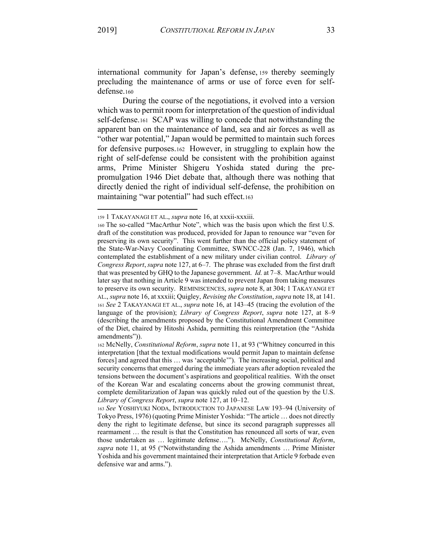international community for Japan's defense, 159 thereby seemingly precluding the maintenance of arms or use of force even for selfdefense.160

During the course of the negotiations, it evolved into a version which was to permit room for interpretation of the question of individual self-defense.161 SCAP was willing to concede that notwithstanding the apparent ban on the maintenance of land, sea and air forces as well as "other war potential," Japan would be permitted to maintain such forces for defensive purposes.162 However, in struggling to explain how the right of self-defense could be consistent with the prohibition against arms, Prime Minister Shigeru Yoshida stated during the prepromulgation 1946 Diet debate that, although there was nothing that directly denied the right of individual self-defense, the prohibition on maintaining "war potential" had such effect.163

<sup>159</sup> 1 TAKAYANAGI ET AL., *supra* note 16, at xxxii-xxxiii.

<sup>160</sup> The so-called "MacArthur Note", which was the basis upon which the first U.S. draft of the constitution was produced, provided for Japan to renounce war "even for preserving its own security". This went further than the official policy statement of the State-War-Navy Coordinating Committee, SWNCC-228 (Jan. 7, 1946), which contemplated the establishment of a new military under civilian control. *Library of Congress Report, supra* note 127, at 6–7. The phrase was excluded from the first draft that was presented by GHQ to the Japanese government. *Id.* at 7–8. MacArthur would later say that nothing in Article 9 was intended to prevent Japan from taking measures to preserve its own security. REMINISCENCES, *supra* note 8, at 304; 1 TAKAYANGI ET AL., *supra* note 16, at xxxiii; Quigley, *Revising the Constitution*, *supra* note 18, at 141. 161 *See* 2 TAKAYANAGI ET AL., *supra* note 16, at 143-45 (tracing the evolution of the language of the provision); *Library of Congress Report*, *supra* note 127, at 8-9 (describing the amendments proposed by the Constitutional Amendment Committee of the Diet, chaired by Hitoshi Ashida, permitting this reinterpretation (the "Ashida" amendments")).

<sup>162</sup> McNelly, *Constitutional Reform, supra* note 11, at 93 ("Whitney concurred in this interpretation [that the textual modifications would permit Japan to maintain defense forces] and agreed that this  $\dots$  was 'acceptable'"). The increasing social, political and security concerns that emerged during the immediate years after adoption revealed the tensions between the document's aspirations and geopolitical realities. With the onset of the Korean War and escalating concerns about the growing communist threat, complete demilitarization of Japan was quickly ruled out of the question by the U.S. *Library of Congress Report, supra* note 127, at 10-12.

<sup>163</sup> See YOSHIYUKI NODA, INTRODUCTION TO JAPANESE LAW 193-94 (University of Tokyo Press, 1976) (quoting Prime Minister Yoshida: "The article ... does not directly deny the right to legitimate defense, but since its second paragraph suppresses all rearmament ... the result is that the Constitution has renounced all sorts of war, even those undertaken as ... legitimate defense...."). McNelly, *Constitutional Reform*, *supra* note 11, at 95 ("Notwithstanding the Ashida amendments ... Prime Minister Yoshida and his government maintained their interpretation that Article 9 forbade even defensive war and arms.").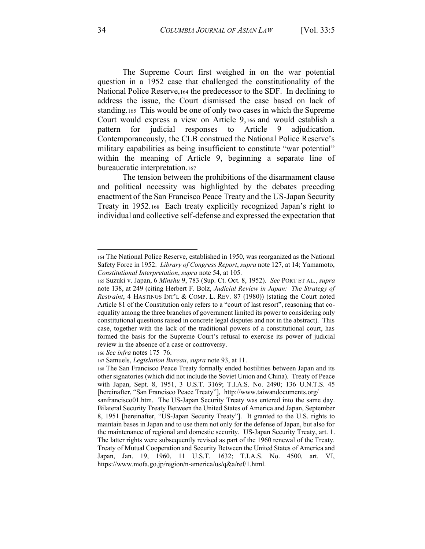The Supreme Court first weighed in on the war potential question in a 1952 case that challenged the constitutionality of the National Police Reserve,164 the predecessor to the SDF. In declining to address the issue, the Court dismissed the case based on lack of standing.165 This would be one of only two cases in which the Supreme Court would express a view on Article 9, <sup>166</sup> and would establish a pattern for judicial responses to Article 9 adjudication. Contemporaneously, the CLB construed the National Police Reserve's military capabilities as being insufficient to constitute "war potential" within the meaning of Article 9, beginning a separate line of bureaucratic interpretation.167

The tension between the prohibitions of the disarmament clause and political necessity was highlighted by the debates preceding enactment of the San Francisco Peace Treaty and the US-Japan Security Treaty in 1952.168 Each treaty explicitly recognized Japan's right to individual and collective self-defense and expressed the expectation that

166 *See infra* notes 175-76.

<sup>164</sup> The National Police Reserve, established in 1950, was reorganized as the National Safety Force in 1952. *Library of Congress Report*, *supra* note 127, at 14; Yamamoto, *Constitutional Interpretation*, *supra* note 54, at 105.

<sup>165</sup> Suzuki v. Japan, 6 *Minshu* 9, 783 (Sup. Ct. Oct. 8, 1952). *See* PORT ET AL., *supra* note 138, at 249 (citing Herbert F. Bolz, *Judicial Review in Japan: The Strategy of Restraint*, 4 HASTINGS INT'L & COMP. L. REV. 87 (1980)) (stating the Court noted Article 81 of the Constitution only refers to a "court of last resort", reasoning that coequality among the three branches of government limited its power to considering only constitutional questions raised in concrete legal disputes and not in the abstract). This case, together with the lack of the traditional powers of a constitutional court, has formed the basis for the Supreme Court's refusal to exercise its power of judicial review in the absence of a case or controversy.

<sup>167</sup> Samuels, *Legislation Bureau*, *supra* note 93, at 11.

<sup>168</sup> The San Francisco Peace Treaty formally ended hostilities between Japan and its other signatories (which did not include the Soviet Union and China). Treaty of Peace with Japan, Sept. 8, 1951, 3 U.S.T. 3169; T.I.A.S. No. 2490; 136 U.N.T.S. 45 [hereinafter, "San Francisco Peace Treaty"], http://www.taiwandocuments.org/

sanfrancisco01.htm. The US-Japan Security Treaty was entered into the same day. Bilateral Security Treaty Between the United States of America and Japan, September 8, 1951 [hereinafter, "US-Japan Security Treaty"]. It granted to the U.S. rights to maintain bases in Japan and to use them not only for the defense of Japan, but also for the maintenance of regional and domestic security. US-Japan Security Treaty, art. 1. The latter rights were subsequently revised as part of the 1960 renewal of the Treaty. Treaty of Mutual Cooperation and Security Between the United States of America and Japan, Jan. 19, 1960, 11 U.S.T. 1632; T.I.A.S. No. 4500, art. VI, https://www.mofa.go.jp/region/n-america/us/q&a/ref/1.html.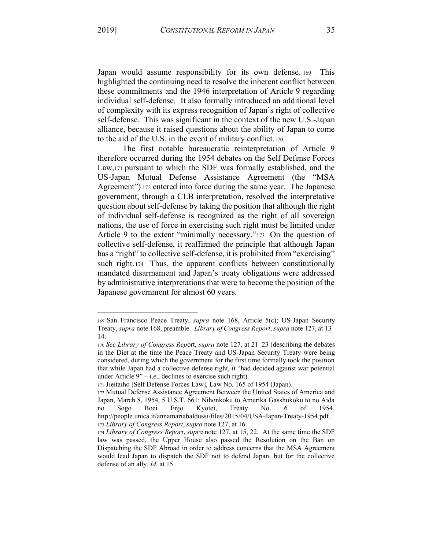Japan would assume responsibility for its own defense. 169 This highlighted the continuing need to resolve the inherent conflict between these commitments and the 1946 interpretation of Article 9 regarding individual self-defense. It also formally introduced an additional level of complexity with its express recognition of Japan's right of collective self-defense. This was significant in the context of the new U.S.-Japan alliance, because it raised questions about the ability of Japan to come to the aid of the U.S. in the event of military conflict.170

The first notable bureaucratic reinterpretation of Article 9 therefore occurred during the 1954 debates on the Self Defense Forces Law,171 pursuant to which the SDF was formally established, and the US-Japan Mutual Defense Assistance Agreement (the "MSA Agreement") 172 entered into force during the same year. The Japanese government, through a CLB interpretation, resolved the interpretative question about self-defense by taking the position that although the right of individual self-defense is recognized as the right of all sovereign nations, the use of force in exercising such right must be limited under Article 9 to the extent "minimally necessary." $173$  On the question of collective self-defense, it reaffirmed the principle that although Japan has a "right" to collective self-defense, it is prohibited from "exercising" such right. 174 Thus, the apparent conflicts between constitutionally mandated disarmament and Japan's treaty obligations were addressed by administrative interpretations that were to become the position of the Japanese government for almost 60 years.

<sup>169</sup> San Francisco Peace Treaty, *supra* note 168, Article 5(c); US-Japan Security Treaty, *supra* note 168, preamble. *Library of Congress Report*, *supra* note 127, at 13± 14.

<sup>170</sup> *See Library of Congress Report, supra* note 127, at 21-23 (describing the debates in the Diet at the time the Peace Treaty and US-Japan Security Treaty were being considered, during which the government for the first time formally took the position that while Japan had a collective defense right, it "had decided against war potential under Article  $9' - i.e.,$  declines to exercise such right).

<sup>171</sup> Jieitaiho [Self Defense Forces Law], Law No. 165 of 1954 (Japan).

<sup>172</sup> Mutual Defense Assistance Agreement Between the United States of America and Japan, March 8, 1954, 5 U.S.T. 661; Nihonkoku to Amerika Gasshukoku to no Aida no Sogo Boei Enjo Kyotei, Treaty No. 6 of 1954, http://people.unica.it/annamariabaldussi/files/2015/04/USA-Japan-Treaty-1954.pdf. <sup>173</sup> *Library of Congress Report*, *supra* note 127, at 16.

<sup>174</sup> *Library of Congress Report*, *supra* note 127, at 15, 22. At the same time the SDF law was passed, the Upper House also passed the Resolution on the Ban on Dispatching the SDF Abroad in order to address concerns that the MSA Agreement would lead Japan to dispatch the SDF not to defend Japan, but for the collective defense of an ally. *Id.* at 15.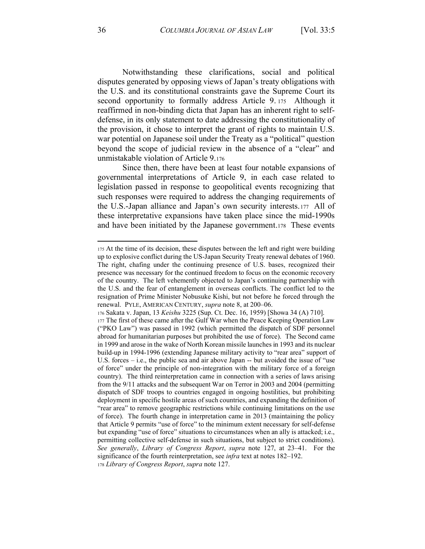Notwithstanding these clarifications, social and political disputes generated by opposing views of Japan's treaty obligations with the U.S. and its constitutional constraints gave the Supreme Court its second opportunity to formally address Article 9. 175 Although it reaffirmed in non-binding dicta that Japan has an inherent right to selfdefense, in its only statement to date addressing the constitutionality of the provision, it chose to interpret the grant of rights to maintain U.S. war potential on Japanese soil under the Treaty as a "political" question beyond the scope of judicial review in the absence of a "clear" and unmistakable violation of Article 9.176

Since then, there have been at least four notable expansions of governmental interpretations of Article 9, in each case related to legislation passed in response to geopolitical events recognizing that such responses were required to address the changing requirements of the U.S.-Japan alliance and Japan's own security interests.177 All of these interpretative expansions have taken place since the mid-1990s and have been initiated by the Japanese government.178 These events

<sup>175</sup> At the time of its decision, these disputes between the left and right were building up to explosive conflict during the US-Japan Security Treaty renewal debates of 1960. The right, chafing under the continuing presence of U.S. bases, recognized their presence was necessary for the continued freedom to focus on the economic recovery of the country. The left vehemently objected to Japan's continuing partnership with the U.S. and the fear of entanglement in overseas conflicts. The conflict led to the resignation of Prime Minister Nobusuke Kishi, but not before he forced through the renewal. PYLE, AMERICAN CENTURY, *supra* note 8, at 200-06.

<sup>176</sup> Sakata v. Japan, 13 *Keishu* 3225 (Sup. Ct. Dec. 16, 1959) [Showa 34 (A) 710].

<sup>177</sup> The first of these came after the Gulf War when the Peace Keeping Operation Law ("PKO Law") was passed in 1992 (which permitted the dispatch of SDF personnel abroad for humanitarian purposes but prohibited the use of force). The Second came in 1999 and arose in the wake of North Korean missile launches in 1993 and its nuclear build-up in 1994-1996 (extending Japanese military activity to "rear area" support of U.S. forces  $-$  i.e., the public sea and air above Japan  $-$  but avoided the issue of "use of force" under the principle of non-integration with the military force of a foreign country). The third reinterpretation came in connection with a series of laws arising from the 9/11 attacks and the subsequent War on Terror in 2003 and 2004 (permitting dispatch of SDF troops to countries engaged in ongoing hostilities, but prohibiting deployment in specific hostile areas of such countries, and expanding the definition of "rear area" to remove geographic restrictions while continuing limitations on the use of force). The fourth change in interpretation came in 2013 (maintaining the policy that Article 9 permits "use of force" to the minimum extent necessary for self-defense but expanding "use of force" situations to circumstances when an ally is attacked; i.e., permitting collective self-defense in such situations, but subject to strict conditions). *See generally, Library of Congress Report, supra* note 127, at 23–41. For the significance of the fourth reinterpretation, see *infra* text at notes 182–192.

<sup>178</sup> *Library of Congress Report*, *supra* note 127.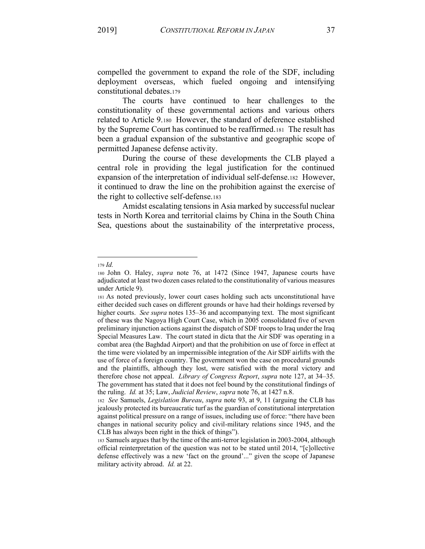compelled the government to expand the role of the SDF, including deployment overseas, which fueled ongoing and intensifying constitutional debates.179

The courts have continued to hear challenges to the constitutionality of these governmental actions and various others related to Article 9.180 However, the standard of deference established by the Supreme Court has continued to be reaffirmed.181 The result has been a gradual expansion of the substantive and geographic scope of permitted Japanese defense activity.

During the course of these developments the CLB played a central role in providing the legal justification for the continued expansion of the interpretation of individual self-defense.182 However, it continued to draw the line on the prohibition against the exercise of the right to collective self-defense.183

Amidst escalating tensions in Asia marked by successful nuclear tests in North Korea and territorial claims by China in the South China Sea, questions about the sustainability of the interpretative process,

<sup>179</sup> *Id.*

<sup>180</sup> John O. Haley, *supra* note 76, at 1472 (Since 1947, Japanese courts have adjudicated at least two dozen cases related to the constitutionality of various measures under Article 9).

<sup>181</sup> As noted previously, lower court cases holding such acts unconstitutional have either decided such cases on different grounds or have had their holdings reversed by higher courts. *See supra* notes 135–36 and accompanying text. The most significant of these was the Nagoya High Court Case, which in 2005 consolidated five of seven preliminary injunction actions against the dispatch of SDF troops to Iraq under the Iraq Special Measures Law. The court stated in dicta that the Air SDF was operating in a combat area (the Baghdad Airport) and that the prohibition on use of force in effect at the time were violated by an impermissible integration of the Air SDF airlifts with the use of force of a foreign country. The government won the case on procedural grounds and the plaintiffs, although they lost, were satisfied with the moral victory and therefore chose not appeal. *Library of Congress Report*, *supra* note 127, at 34–35. The government has stated that it does not feel bound by the constitutional findings of the ruling. *Id.* at 35; Law, *Judicial Review*, *supra* note 76, at 1427 n.8.

<sup>182</sup> *See* Samuels, *Legislation Bureau*, *supra* note 93, at 9, 11 (arguing the CLB has jealously protected its bureaucratic turf as the guardian of constitutional interpretation against political pressure on a range of issues, including use of force: "there have been changes in national security policy and civil-military relations since 1945, and the  $CLB$  has always been right in the thick of things").

<sup>183</sup> Samuels argues that by the time of the anti-terror legislation in 2003-2004, although official reinterpretation of the question was not to be stated until  $2014$ , "[c]ollective defense effectively was a new 'fact on the ground'..." given the scope of Japanese military activity abroad. *Id.* at 22.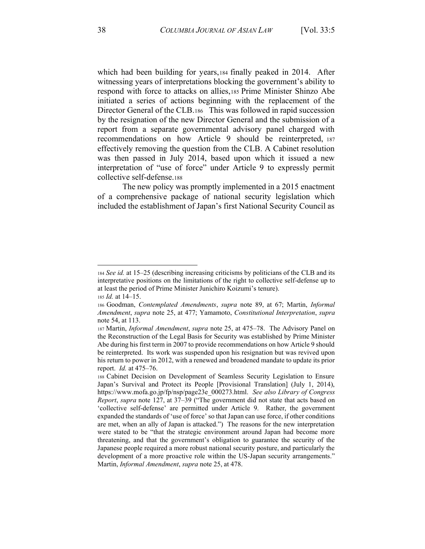which had been building for years,184 finally peaked in 2014. After witnessing years of interpretations blocking the government's ability to respond with force to attacks on allies,185 Prime Minister Shinzo Abe initiated a series of actions beginning with the replacement of the Director General of the CLB.186 This was followed in rapid succession by the resignation of the new Director General and the submission of a report from a separate governmental advisory panel charged with recommendations on how Article 9 should be reinterpreted, <sup>187</sup> effectively removing the question from the CLB. A Cabinet resolution was then passed in July 2014, based upon which it issued a new interpretation of "use of force" under Article 9 to expressly permit collective self-defense.188

The new policy was promptly implemented in a 2015 enactment of a comprehensive package of national security legislation which included the establishment of Japan's first National Security Council as

<sup>184</sup> *See id.* at 15–25 (describing increasing criticisms by politicians of the CLB and its interpretative positions on the limitations of the right to collective self-defense up to at least the period of Prime Minister Junichiro Koizumi's tenure).

<sup>185</sup> *Id.* at 14–15.

<sup>186</sup> Goodman, *Contemplated Amendments*, *supra* note 89, at 67; Martin, *Informal Amendment*, *supra* note 25, at 477; Yamamoto, *Constitutional Interpretation*, *supra* note 54, at 113.

<sup>187</sup> Martin, *Informal Amendment*, *supra* note 25, at 475–78. The Advisory Panel on the Reconstruction of the Legal Basis for Security was established by Prime Minister Abe during his first term in 2007 to provide recommendations on how Article 9 should be reinterpreted. Its work was suspended upon his resignation but was revived upon his return to power in 2012, with a renewed and broadened mandate to update its prior report. *Id.* at 475–76.

<sup>188</sup> Cabinet Decision on Development of Seamless Security Legislation to Ensure Japan's Survival and Protect its People [Provisional Translation] (July 1, 2014), https://www.mofa.go.jp/fp/nsp/page23e\_000273.html. *See also Library of Congress Report, supra* note 127, at 37-39 ("The government did not state that acts based on 'collective self-defense' are permitted under Article 9. Rather, the government expanded the standards of 'use of force' so that Japan can use force, if other conditions are met, when an ally of Japan is attacked.<sup>\*</sup>) The reasons for the new interpretation were stated to be "that the strategic environment around Japan had become more threatening, and that the government's obligation to guarantee the security of the Japanese people required a more robust national security posture, and particularly the development of a more proactive role within the US-Japan security arrangements.<sup>"</sup> Martin, *Informal Amendment*, *supra* note 25, at 478.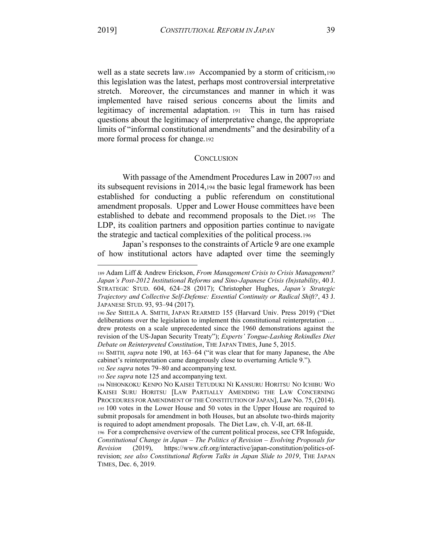well as a state secrets law.189 Accompanied by a storm of criticism,190 this legislation was the latest, perhaps most controversial interpretative stretch. Moreover, the circumstances and manner in which it was implemented have raised serious concerns about the limits and legitimacy of incremental adaptation. 191 This in turn has raised questions about the legitimacy of interpretative change, the appropriate limits of "informal constitutional amendments" and the desirability of a more formal process for change.192

#### **CONCLUSION**

With passage of the Amendment Procedures Law in 2007193 and its subsequent revisions in 2014,194 the basic legal framework has been established for conducting a public referendum on constitutional amendment proposals. Upper and Lower House committees have been established to debate and recommend proposals to the Diet. 195 The LDP, its coalition partners and opposition parties continue to navigate the strategic and tactical complexities of the political process.196

Japan's responses to the constraints of Article 9 are one example of how institutional actors have adapted over time the seemingly

<sup>193</sup> *See supra* note 125 and accompanying text.

<sup>189</sup> Adam Liff & Andrew Erickson, *From Management Crisis to Crisis Management? Japan¶s Post-2012 Institutional Reforms and Sino-Japanese Crisis (In)stability*, 40 J. STRATEGIC STUD. 604, 624-28 (2017); Christopher Hughes, *Japan's Strategic Trajectory and Collective Self-Defense: Essential Continuity or Radical Shift?*, 43 J. JAPANESE STUD. 93, 93-94 (2017).

<sup>190</sup> See SHEILA A. SMITH, JAPAN REARMED 155 (Harvard Univ. Press 2019) ("Diet deliberations over the legislation to implement this constitutional reinterpretation ... drew protests on a scale unprecedented since the 1960 demonstrations against the revision of the US-Japan Security Treaty"); *Experts' Tongue-Lashing Rekindles Diet Debate on Reinterpreted Constitution*, THE JAPAN TIMES, June 5, 2015.

<sup>191</sup> SMITH, *supra* note 190, at 163-64 ("it was clear that for many Japanese, the Abe cabinet's reinterpretation came dangerously close to overturning Article 9.<sup>\*</sup>).

<sup>192</sup> *See supra* notes 79–80 and accompanying text.

<sup>194</sup> NIHONKOKU KENPO NO KAISEI TETUDUKI NI KANSURU HORITSU NO ICHIBU WO KAISEI SURU HORITSU [LAW PARTIALLY AMENDING THE LAW CONCERNING PROCEDURES FOR AMENDMENT OF THE CONSTITUTION OF JAPAN], Law No. 75, (2014). <sup>195</sup> 100 votes in the Lower House and 50 votes in the Upper House are required to submit proposals for amendment in both Houses, but an absolute two-thirds majority is required to adopt amendment proposals. The Diet Law, ch. V-II, art. 68-II.

<sup>196</sup> For a comprehensive overview of the current political process, see CFR Infoguide, *Constitutional Change in Japan ± The Politics of Revision ± Evolving Proposals for Revision* (2019), https://www.cfr.org/interactive/japan-constitution/politics-ofrevision; *see also Constitutional Reform Talks in Japan Slide to 2019*, THE JAPAN TIMES, Dec. 6, 2019.